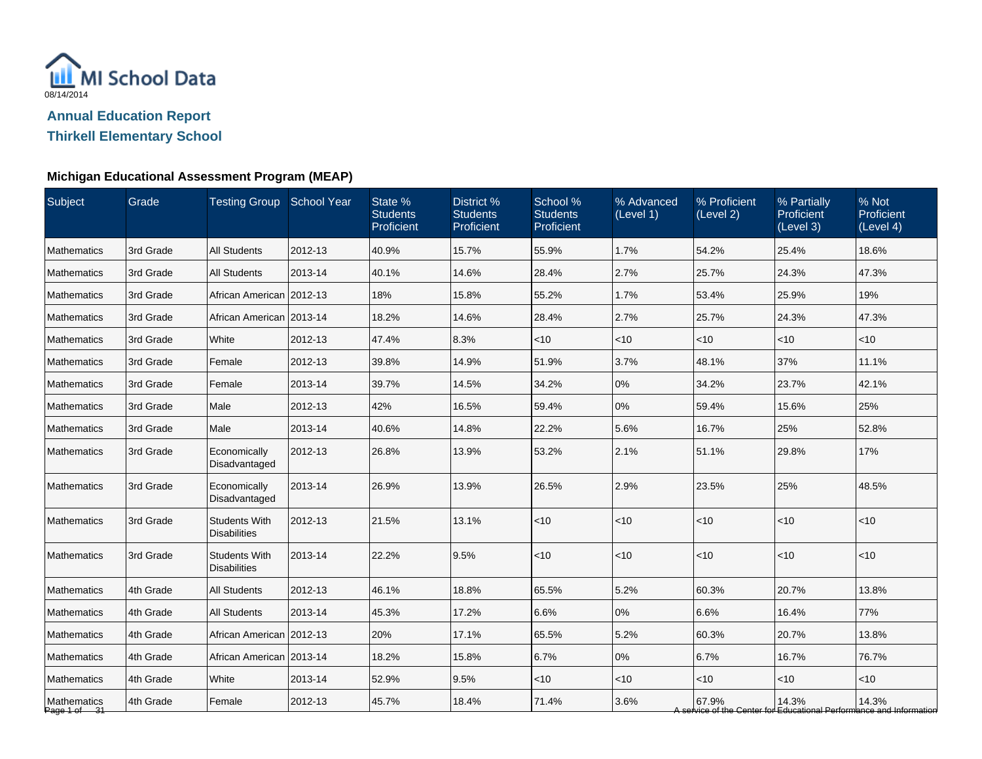

**Thirkell Elementary School**

### **Michigan Educational Assessment Program (MEAP)**

| Subject                     | Grade     | Testing Group School Year                   |         | State %<br><b>Students</b><br>Proficient | District %<br><b>Students</b><br>Proficient | School %<br><b>Students</b><br>Proficient | % Advanced<br>(Level 1) | % Proficient<br>(Level 2) | % Partially<br><b>Proficient</b><br>(Level 3) | % Not<br>Proficient<br>(Level 4)                                             |
|-----------------------------|-----------|---------------------------------------------|---------|------------------------------------------|---------------------------------------------|-------------------------------------------|-------------------------|---------------------------|-----------------------------------------------|------------------------------------------------------------------------------|
| Mathematics                 | 3rd Grade | <b>All Students</b>                         | 2012-13 | 40.9%                                    | 15.7%                                       | 55.9%                                     | 1.7%                    | 54.2%                     | 25.4%                                         | 18.6%                                                                        |
| <b>Mathematics</b>          | 3rd Grade | <b>All Students</b>                         | 2013-14 | 40.1%                                    | 14.6%                                       | 28.4%                                     | 2.7%                    | 25.7%                     | 24.3%                                         | 47.3%                                                                        |
| <b>Mathematics</b>          | 3rd Grade | African American 2012-13                    |         | 18%                                      | 15.8%                                       | 55.2%                                     | 1.7%                    | 53.4%                     | 25.9%                                         | 19%                                                                          |
| <b>Mathematics</b>          | 3rd Grade | African American 2013-14                    |         | 18.2%                                    | 14.6%                                       | 28.4%                                     | 2.7%                    | 25.7%                     | 24.3%                                         | 47.3%                                                                        |
| <b>Mathematics</b>          | 3rd Grade | White                                       | 2012-13 | 47.4%                                    | 8.3%                                        | $<$ 10                                    | $<$ 10                  | $<$ 10                    | $<$ 10                                        | $<$ 10                                                                       |
| Mathematics                 | 3rd Grade | Female                                      | 2012-13 | 39.8%                                    | 14.9%                                       | 51.9%                                     | 3.7%                    | 48.1%                     | 37%                                           | 11.1%                                                                        |
| Mathematics                 | 3rd Grade | Female                                      | 2013-14 | 39.7%                                    | 14.5%                                       | 34.2%                                     | 0%                      | 34.2%                     | 23.7%                                         | 42.1%                                                                        |
| <b>Mathematics</b>          | 3rd Grade | Male                                        | 2012-13 | 42%                                      | 16.5%                                       | 59.4%                                     | 0%                      | 59.4%                     | 15.6%                                         | 25%                                                                          |
| Mathematics                 | 3rd Grade | Male                                        | 2013-14 | 40.6%                                    | 14.8%                                       | 22.2%                                     | 5.6%                    | 16.7%                     | 25%                                           | 52.8%                                                                        |
| <b>Mathematics</b>          | 3rd Grade | Economically<br>Disadvantaged               | 2012-13 | 26.8%                                    | 13.9%                                       | 53.2%                                     | 2.1%                    | 51.1%                     | 29.8%                                         | 17%                                                                          |
| <b>Mathematics</b>          | 3rd Grade | Economically<br>Disadvantaged               | 2013-14 | 26.9%                                    | 13.9%                                       | 26.5%                                     | 2.9%                    | 23.5%                     | 25%                                           | 48.5%                                                                        |
| <b>Mathematics</b>          | 3rd Grade | <b>Students With</b><br><b>Disabilities</b> | 2012-13 | 21.5%                                    | 13.1%                                       | <10                                       | <10                     | <10                       | < 10                                          | <10                                                                          |
| Mathematics                 | 3rd Grade | <b>Students With</b><br><b>Disabilities</b> | 2013-14 | 22.2%                                    | 9.5%                                        | $<10$                                     | < 10                    | $<$ 10                    | $<$ 10                                        | < 10                                                                         |
| <b>Mathematics</b>          | 4th Grade | <b>All Students</b>                         | 2012-13 | 46.1%                                    | 18.8%                                       | 65.5%                                     | 5.2%                    | 60.3%                     | 20.7%                                         | 13.8%                                                                        |
| <b>Mathematics</b>          | 4th Grade | <b>All Students</b>                         | 2013-14 | 45.3%                                    | 17.2%                                       | 6.6%                                      | 0%                      | 6.6%                      | 16.4%                                         | 77%                                                                          |
| <b>Mathematics</b>          | 4th Grade | African American 2012-13                    |         | 20%                                      | 17.1%                                       | 65.5%                                     | 5.2%                    | 60.3%                     | 20.7%                                         | 13.8%                                                                        |
| <b>Mathematics</b>          | 4th Grade | African American 2013-14                    |         | 18.2%                                    | 15.8%                                       | 6.7%                                      | $0\%$                   | 6.7%                      | 16.7%                                         | 76.7%                                                                        |
| Mathematics                 | 4th Grade | White                                       | 2013-14 | 52.9%                                    | 9.5%                                        | $<$ 10                                    | <10                     | $<$ 10                    | $<$ 10                                        | $<$ 10                                                                       |
| Mathematics<br>Page 1 of 31 | 4th Grade | Female                                      | 2012-13 | 45.7%                                    | 18.4%                                       | 71.4%                                     | 3.6%                    | 67.9%                     | 14.3%                                         | 14.3%<br>A service of the Center for Educational Performance and Information |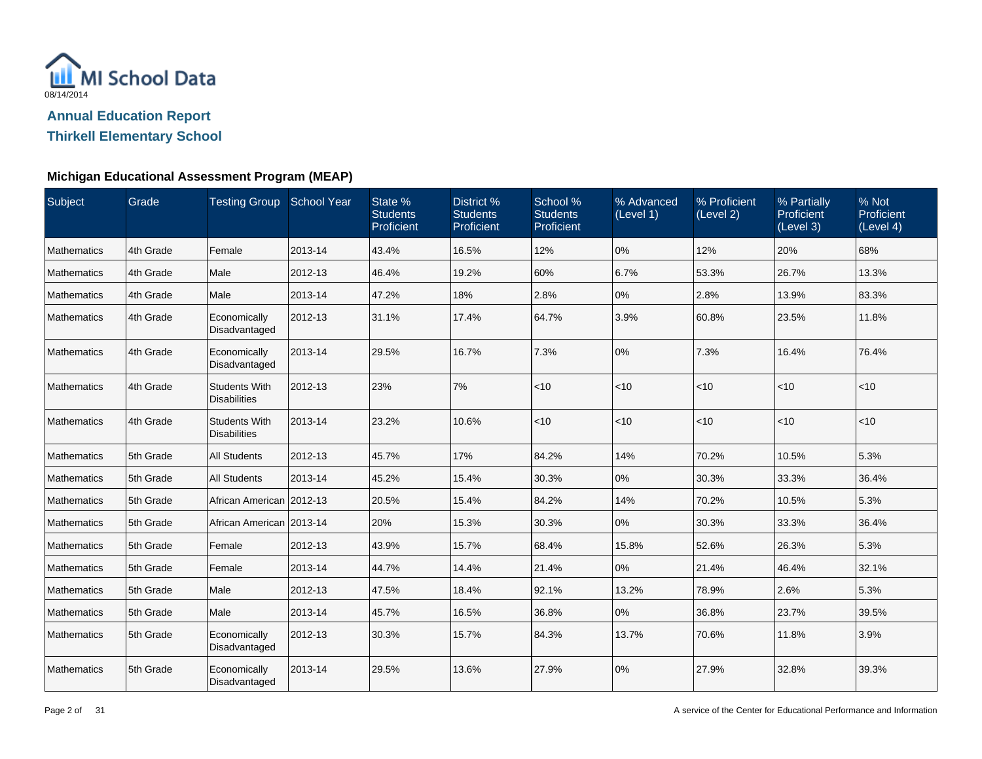

**Thirkell Elementary School**

#### **Michigan Educational Assessment Program (MEAP)**

| Subject            | Grade     | Testing Group School Year                   |         | State %<br><b>Students</b><br>Proficient | District %<br><b>Students</b><br>Proficient | School %<br><b>Students</b><br>Proficient | % Advanced<br>(Level 1) | % Proficient<br>(Level 2) | % Partially<br>Proficient<br>(Level 3) | % Not<br>Proficient<br>(Level 4) |
|--------------------|-----------|---------------------------------------------|---------|------------------------------------------|---------------------------------------------|-------------------------------------------|-------------------------|---------------------------|----------------------------------------|----------------------------------|
| <b>Mathematics</b> | 4th Grade | Female                                      | 2013-14 | 43.4%                                    | 16.5%                                       | 12%                                       | 0%                      | 12%                       | 20%                                    | 68%                              |
| <b>Mathematics</b> | 4th Grade | Male                                        | 2012-13 | 46.4%                                    | 19.2%                                       | 60%                                       | 6.7%                    | 53.3%                     | 26.7%                                  | 13.3%                            |
| Mathematics        | 4th Grade | Male                                        | 2013-14 | 47.2%                                    | 18%                                         | 2.8%                                      | 0%                      | 2.8%                      | 13.9%                                  | 83.3%                            |
| <b>Mathematics</b> | 4th Grade | Economically<br>Disadvantaged               | 2012-13 | 31.1%                                    | 17.4%                                       | 64.7%                                     | 3.9%                    | 60.8%                     | 23.5%                                  | 11.8%                            |
| Mathematics        | 4th Grade | Economically<br>Disadvantaged               | 2013-14 | 29.5%                                    | 16.7%                                       | 7.3%                                      | 0%                      | 7.3%                      | 16.4%                                  | 76.4%                            |
| Mathematics        | 4th Grade | <b>Students With</b><br><b>Disabilities</b> | 2012-13 | 23%                                      | 7%                                          | < 10                                      | < 10                    | $ $ < 10                  | < 10                                   | < 10                             |
| Mathematics        | 4th Grade | <b>Students With</b><br><b>Disabilities</b> | 2013-14 | 23.2%                                    | 10.6%                                       | $<10$                                     | < 10                    | $<$ 10                    | $<$ 10                                 | < 10                             |
| Mathematics        | 5th Grade | <b>All Students</b>                         | 2012-13 | 45.7%                                    | 17%                                         | 84.2%                                     | 14%                     | 70.2%                     | 10.5%                                  | 5.3%                             |
| Mathematics        | 5th Grade | <b>All Students</b>                         | 2013-14 | 45.2%                                    | 15.4%                                       | 30.3%                                     | 0%                      | 30.3%                     | 33.3%                                  | 36.4%                            |
| Mathematics        | 5th Grade | African American 2012-13                    |         | 20.5%                                    | 15.4%                                       | 84.2%                                     | 14%                     | 70.2%                     | 10.5%                                  | 5.3%                             |
| Mathematics        | 5th Grade | African American 2013-14                    |         | 20%                                      | 15.3%                                       | 30.3%                                     | 0%                      | 30.3%                     | 33.3%                                  | 36.4%                            |
| Mathematics        | 5th Grade | Female                                      | 2012-13 | 43.9%                                    | 15.7%                                       | 68.4%                                     | 15.8%                   | 52.6%                     | 26.3%                                  | 5.3%                             |
| Mathematics        | 5th Grade | Female                                      | 2013-14 | 44.7%                                    | 14.4%                                       | 21.4%                                     | 0%                      | 21.4%                     | 46.4%                                  | 32.1%                            |
| Mathematics        | 5th Grade | Male                                        | 2012-13 | 47.5%                                    | 18.4%                                       | 92.1%                                     | 13.2%                   | 78.9%                     | 2.6%                                   | 5.3%                             |
| Mathematics        | 5th Grade | Male                                        | 2013-14 | 45.7%                                    | 16.5%                                       | 36.8%                                     | 0%                      | 36.8%                     | 23.7%                                  | 39.5%                            |
| Mathematics        | 5th Grade | Economically<br>Disadvantaged               | 2012-13 | 30.3%                                    | 15.7%                                       | 84.3%                                     | 13.7%                   | 70.6%                     | 11.8%                                  | 3.9%                             |
| Mathematics        | 5th Grade | Economically<br>Disadvantaged               | 2013-14 | 29.5%                                    | 13.6%                                       | 27.9%                                     | 0%                      | 27.9%                     | 32.8%                                  | 39.3%                            |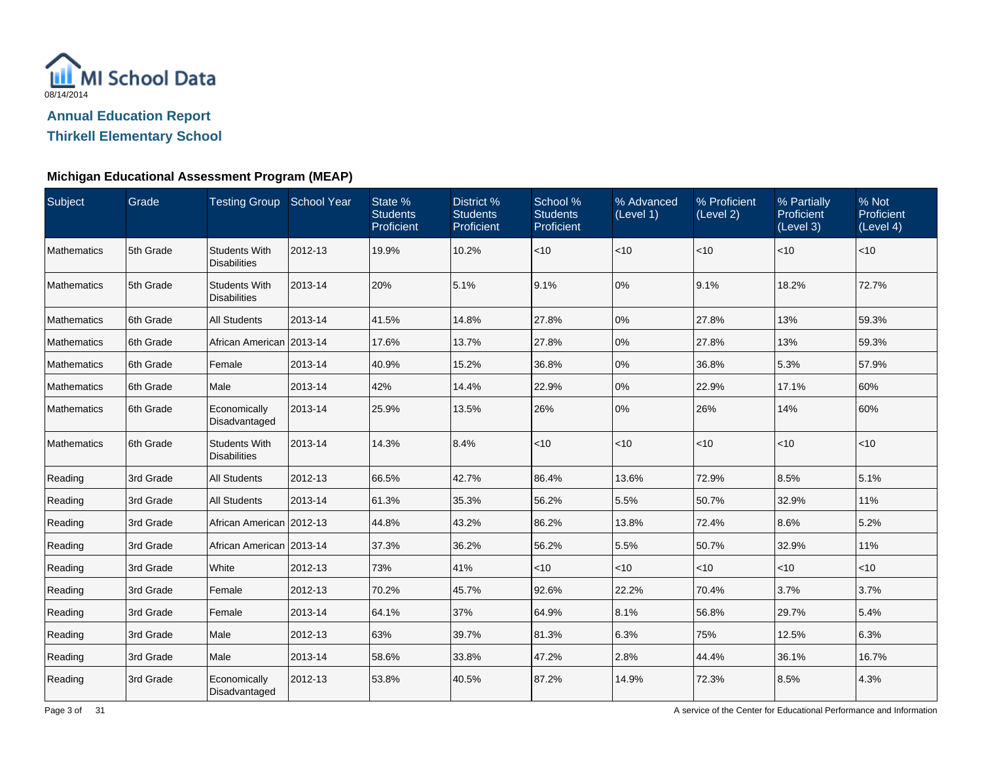

**Thirkell Elementary School**

#### **Michigan Educational Assessment Program (MEAP)**

| Subject            | Grade     | Testing Group School Year                   |         | State %<br><b>Students</b><br>Proficient | District %<br><b>Students</b><br>Proficient | School %<br><b>Students</b><br>Proficient | % Advanced<br>(Level 1) | % Proficient<br>(Level 2) | % Partially<br>Proficient<br>(Level 3) | % Not<br>Proficient<br>(Level 4) |
|--------------------|-----------|---------------------------------------------|---------|------------------------------------------|---------------------------------------------|-------------------------------------------|-------------------------|---------------------------|----------------------------------------|----------------------------------|
| Mathematics        | 5th Grade | <b>Students With</b><br><b>Disabilities</b> | 2012-13 | 19.9%                                    | 10.2%                                       | $<10$                                     | $<$ 10                  | < 10                      | < 10                                   | $<$ 10                           |
| Mathematics        | 5th Grade | <b>Students With</b><br><b>Disabilities</b> | 2013-14 | 20%                                      | 5.1%                                        | 9.1%                                      | 0%                      | 9.1%                      | 18.2%                                  | 72.7%                            |
| Mathematics        | 6th Grade | <b>All Students</b>                         | 2013-14 | 41.5%                                    | 14.8%                                       | 27.8%                                     | 0%                      | 27.8%                     | 13%                                    | 59.3%                            |
| <b>Mathematics</b> | 6th Grade | African American 2013-14                    |         | 17.6%                                    | 13.7%                                       | 27.8%                                     | 0%                      | 27.8%                     | 13%                                    | 59.3%                            |
| Mathematics        | 6th Grade | Female                                      | 2013-14 | 40.9%                                    | 15.2%                                       | 36.8%                                     | 0%                      | 36.8%                     | 5.3%                                   | 57.9%                            |
| Mathematics        | 6th Grade | Male                                        | 2013-14 | 42%                                      | 14.4%                                       | 22.9%                                     | 0%                      | 22.9%                     | 17.1%                                  | 60%                              |
| Mathematics        | 6th Grade | Economically<br>Disadvantaged               | 2013-14 | 25.9%                                    | 13.5%                                       | 26%                                       | 0%                      | 26%                       | 14%                                    | 60%                              |
| <b>Mathematics</b> | 6th Grade | <b>Students With</b><br><b>Disabilities</b> | 2013-14 | 14.3%                                    | 8.4%                                        | $<$ 10                                    | < 10                    | $<$ 10                    | $<$ 10                                 | $<$ 10                           |
| Reading            | 3rd Grade | <b>All Students</b>                         | 2012-13 | 66.5%                                    | 42.7%                                       | 86.4%                                     | 13.6%                   | 72.9%                     | 8.5%                                   | 5.1%                             |
| Reading            | 3rd Grade | <b>All Students</b>                         | 2013-14 | 61.3%                                    | 35.3%                                       | 56.2%                                     | 5.5%                    | 50.7%                     | 32.9%                                  | 11%                              |
| Reading            | 3rd Grade | African American 2012-13                    |         | 44.8%                                    | 43.2%                                       | 86.2%                                     | 13.8%                   | 72.4%                     | 8.6%                                   | 5.2%                             |
| Reading            | 3rd Grade | African American 2013-14                    |         | 37.3%                                    | 36.2%                                       | 56.2%                                     | 5.5%                    | 50.7%                     | 32.9%                                  | 11%                              |
| Reading            | 3rd Grade | White                                       | 2012-13 | 73%                                      | 41%                                         | $<$ 10                                    | $<$ 10                  | $<$ 10                    | < 10                                   | $<$ 10                           |
| Reading            | 3rd Grade | Female                                      | 2012-13 | 70.2%                                    | 45.7%                                       | 92.6%                                     | 22.2%                   | 70.4%                     | 3.7%                                   | 3.7%                             |
| Reading            | 3rd Grade | Female                                      | 2013-14 | 64.1%                                    | 37%                                         | 64.9%                                     | 8.1%                    | 56.8%                     | 29.7%                                  | 5.4%                             |
| Reading            | 3rd Grade | Male                                        | 2012-13 | 63%                                      | 39.7%                                       | 81.3%                                     | 6.3%                    | 75%                       | 12.5%                                  | 6.3%                             |
| Reading            | 3rd Grade | Male                                        | 2013-14 | 58.6%                                    | 33.8%                                       | 47.2%                                     | 2.8%                    | 44.4%                     | 36.1%                                  | 16.7%                            |
| Reading            | 3rd Grade | Economically<br>Disadvantaged               | 2012-13 | 53.8%                                    | 40.5%                                       | 87.2%                                     | 14.9%                   | 72.3%                     | 8.5%                                   | 4.3%                             |

A service of the Center for Educational Performance and Information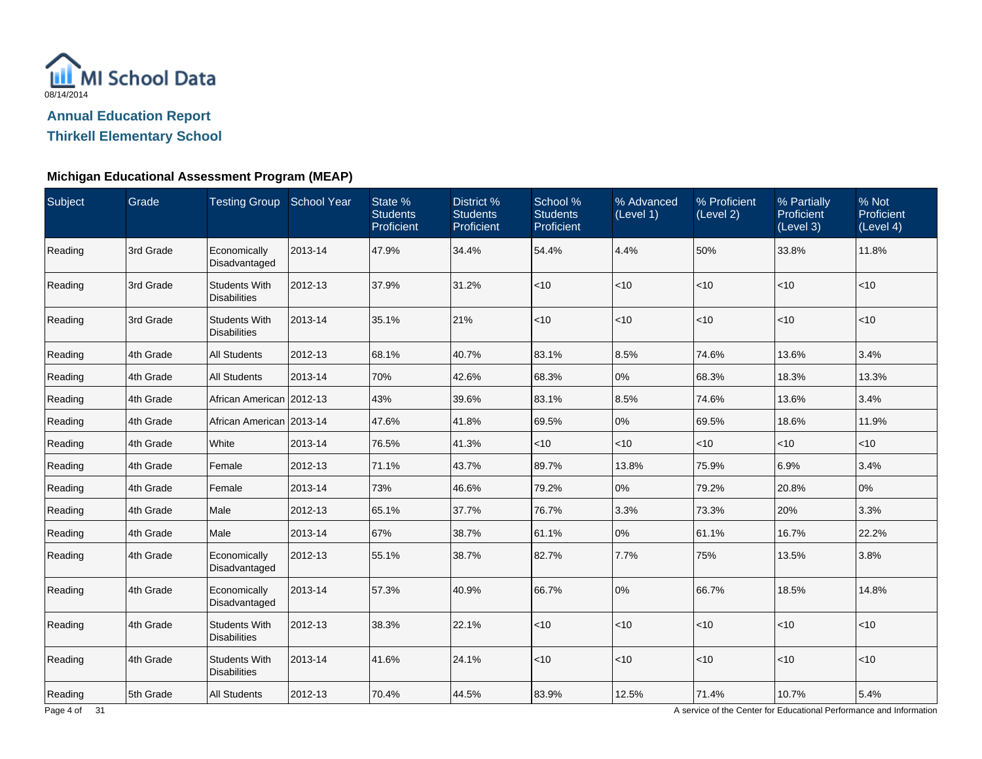

**Thirkell Elementary School**

#### **Michigan Educational Assessment Program (MEAP)**

| Subject | Grade     | Testing Group School Year                   |         | State %<br><b>Students</b><br>Proficient | District %<br><b>Students</b><br>Proficient | School %<br><b>Students</b><br>Proficient | % Advanced<br>(Level 1) | % Proficient<br>(Level 2) | % Partially<br><b>Proficient</b><br>(Level 3) | % Not<br>Proficient<br>(Level 4) |
|---------|-----------|---------------------------------------------|---------|------------------------------------------|---------------------------------------------|-------------------------------------------|-------------------------|---------------------------|-----------------------------------------------|----------------------------------|
| Reading | 3rd Grade | Economically<br>Disadvantaged               | 2013-14 | 47.9%                                    | 34.4%                                       | 54.4%                                     | 4.4%                    | 50%                       | 33.8%                                         | 11.8%                            |
| Reading | 3rd Grade | <b>Students With</b><br><b>Disabilities</b> | 2012-13 | 37.9%                                    | 31.2%                                       | <10                                       | $<$ 10                  | $<$ 10                    | < 10                                          | $<$ 10                           |
| Reading | 3rd Grade | <b>Students With</b><br><b>Disabilities</b> | 2013-14 | 35.1%                                    | 21%                                         | <10                                       | $<$ 10                  | $<$ 10                    | $<$ 10                                        | $<$ 10                           |
| Reading | 4th Grade | <b>All Students</b>                         | 2012-13 | 68.1%                                    | 40.7%                                       | 83.1%                                     | 8.5%                    | 74.6%                     | 13.6%                                         | 3.4%                             |
| Reading | 4th Grade | <b>All Students</b>                         | 2013-14 | 70%                                      | 42.6%                                       | 68.3%                                     | 0%                      | 68.3%                     | 18.3%                                         | 13.3%                            |
| Reading | 4th Grade | African American   2012-13                  |         | 43%                                      | 39.6%                                       | 83.1%                                     | 8.5%                    | 74.6%                     | 13.6%                                         | 3.4%                             |
| Reading | 4th Grade | African American   2013-14                  |         | 47.6%                                    | 41.8%                                       | 69.5%                                     | 0%                      | 69.5%                     | 18.6%                                         | 11.9%                            |
| Reading | 4th Grade | White                                       | 2013-14 | 76.5%                                    | 41.3%                                       | $<$ 10                                    | <10                     | <10                       | $<$ 10                                        | $<$ 10                           |
| Reading | 4th Grade | Female                                      | 2012-13 | 71.1%                                    | 43.7%                                       | 89.7%                                     | 13.8%                   | 75.9%                     | 6.9%                                          | 3.4%                             |
| Reading | 4th Grade | Female                                      | 2013-14 | 73%                                      | 46.6%                                       | 79.2%                                     | 0%                      | 79.2%                     | 20.8%                                         | 0%                               |
| Reading | 4th Grade | Male                                        | 2012-13 | 65.1%                                    | 37.7%                                       | 76.7%                                     | 3.3%                    | 73.3%                     | 20%                                           | 3.3%                             |
| Reading | 4th Grade | Male                                        | 2013-14 | 67%                                      | 38.7%                                       | 61.1%                                     | 0%                      | 61.1%                     | 16.7%                                         | 22.2%                            |
| Reading | 4th Grade | Economically<br>Disadvantaged               | 2012-13 | 55.1%                                    | 38.7%                                       | 82.7%                                     | 7.7%                    | 75%                       | 13.5%                                         | 3.8%                             |
| Reading | 4th Grade | Economically<br>Disadvantaged               | 2013-14 | 57.3%                                    | 40.9%                                       | 66.7%                                     | 0%                      | 66.7%                     | 18.5%                                         | 14.8%                            |
| Reading | 4th Grade | <b>Students With</b><br><b>Disabilities</b> | 2012-13 | 38.3%                                    | 22.1%                                       | $<10$                                     | <10                     | $<$ 10                    | < 10                                          | $<$ 10                           |
| Reading | 4th Grade | <b>Students With</b><br><b>Disabilities</b> | 2013-14 | 41.6%                                    | 24.1%                                       | < 10                                      | <10                     | $<$ 10                    | < 10                                          | < 10                             |
| Reading | 5th Grade | <b>All Students</b>                         | 2012-13 | 70.4%                                    | 44.5%                                       | 83.9%                                     | 12.5%                   | 71.4%                     | 10.7%                                         | 5.4%                             |

A service of the Center for Educational Performance and Information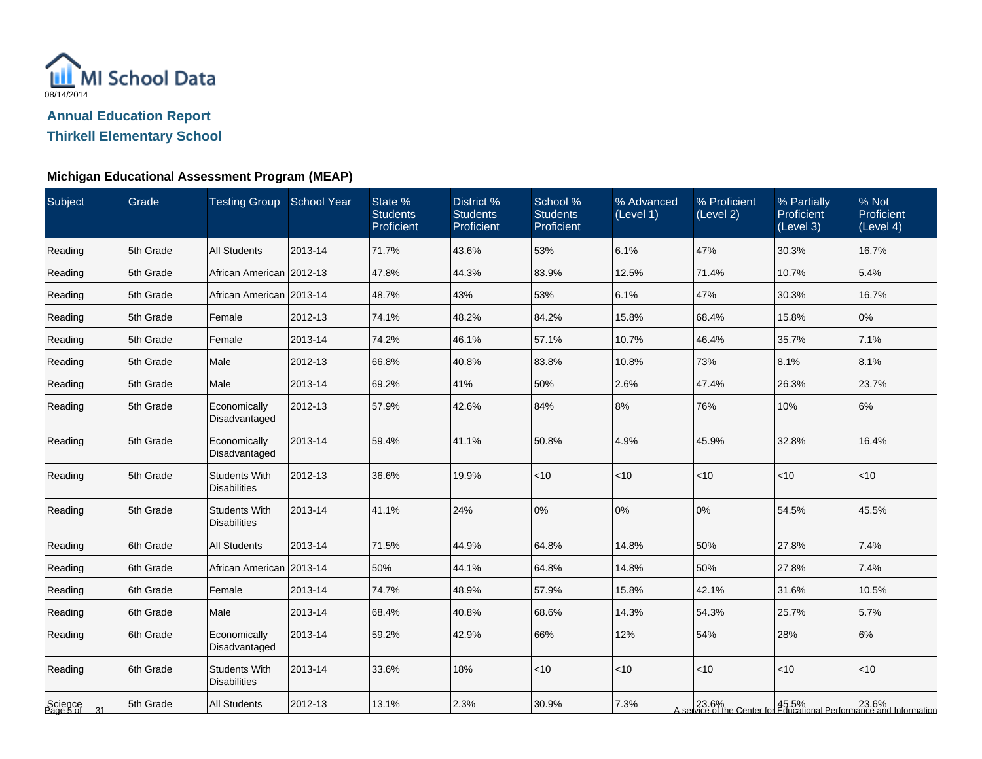

**Thirkell Elementary School**

### **Michigan Educational Assessment Program (MEAP)**

| Subject                    | Grade     | Testing Group School Year                   |         | State %<br><b>Students</b><br>Proficient | District %<br><b>Students</b><br>Proficient | School %<br><b>Students</b><br>Proficient | % Advanced<br>(Level 1) | % Proficient<br>(Level 2) | % Partially<br>Proficient<br>(Level 3) | % Not<br>Proficient<br>(Level 4)                                             |
|----------------------------|-----------|---------------------------------------------|---------|------------------------------------------|---------------------------------------------|-------------------------------------------|-------------------------|---------------------------|----------------------------------------|------------------------------------------------------------------------------|
| Reading                    | 5th Grade | <b>All Students</b>                         | 2013-14 | 71.7%                                    | 43.6%                                       | 53%                                       | 6.1%                    | 47%                       | 30.3%                                  | 16.7%                                                                        |
| Reading                    | 5th Grade | African American 2012-13                    |         | 47.8%                                    | 44.3%                                       | 83.9%                                     | 12.5%                   | 71.4%                     | 10.7%                                  | 5.4%                                                                         |
| Reading                    | 5th Grade | African American   2013-14                  |         | 48.7%                                    | 43%                                         | 53%                                       | 6.1%                    | 47%                       | 30.3%                                  | 16.7%                                                                        |
| Reading                    | 5th Grade | Female                                      | 2012-13 | 74.1%                                    | 48.2%                                       | 84.2%                                     | 15.8%                   | 68.4%                     | 15.8%                                  | $0\%$                                                                        |
| Reading                    | 5th Grade | Female                                      | 2013-14 | 74.2%                                    | 46.1%                                       | 57.1%                                     | 10.7%                   | 46.4%                     | 35.7%                                  | 7.1%                                                                         |
| Reading                    | 5th Grade | Male                                        | 2012-13 | 66.8%                                    | 40.8%                                       | 83.8%                                     | 10.8%                   | 73%                       | 8.1%                                   | 8.1%                                                                         |
| Reading                    | 5th Grade | Male                                        | 2013-14 | 69.2%                                    | 41%                                         | 50%                                       | 2.6%                    | 47.4%                     | 26.3%                                  | 23.7%                                                                        |
| Reading                    | 5th Grade | Economically<br>Disadvantaged               | 2012-13 | 57.9%                                    | 42.6%                                       | 84%                                       | 8%                      | 76%                       | 10%                                    | 6%                                                                           |
| Reading                    | 5th Grade | Economically<br>Disadvantaged               | 2013-14 | 59.4%                                    | 41.1%                                       | 50.8%                                     | 4.9%                    | 45.9%                     | 32.8%                                  | 16.4%                                                                        |
| Reading                    | 5th Grade | <b>Students With</b><br><b>Disabilities</b> | 2012-13 | 36.6%                                    | 19.9%                                       | < 10                                      | < 10                    | $<$ 10                    | $<$ 10                                 | $<$ 10                                                                       |
| Reading                    | 5th Grade | <b>Students With</b><br><b>Disabilities</b> | 2013-14 | 41.1%                                    | 24%                                         | 0%                                        | 0%                      | 0%                        | 54.5%                                  | 45.5%                                                                        |
| Reading                    | 6th Grade | <b>All Students</b>                         | 2013-14 | 71.5%                                    | 44.9%                                       | 64.8%                                     | 14.8%                   | 50%                       | 27.8%                                  | 7.4%                                                                         |
| Reading                    | 6th Grade | African American   2013-14                  |         | 50%                                      | 44.1%                                       | 64.8%                                     | 14.8%                   | 50%                       | 27.8%                                  | 7.4%                                                                         |
| Reading                    | 6th Grade | Female                                      | 2013-14 | 74.7%                                    | 48.9%                                       | 57.9%                                     | 15.8%                   | 42.1%                     | 31.6%                                  | 10.5%                                                                        |
| Reading                    | 6th Grade | Male                                        | 2013-14 | 68.4%                                    | 40.8%                                       | 68.6%                                     | 14.3%                   | 54.3%                     | 25.7%                                  | 5.7%                                                                         |
| Reading                    | 6th Grade | Economically<br>Disadvantaged               | 2013-14 | 59.2%                                    | 42.9%                                       | 66%                                       | 12%                     | 54%                       | 28%                                    | 6%                                                                           |
| Reading                    | 6th Grade | <b>Students With</b><br><b>Disabilities</b> | 2013-14 | 33.6%                                    | 18%                                         | < 10                                      | < 10                    | $<$ 10                    | < 10                                   | < 10                                                                         |
| Science<br>Page 5 of<br>31 | 5th Grade | <b>All Students</b>                         | 2012-13 | 13.1%                                    | 2.3%                                        | 30.9%                                     | 7.3%                    |                           |                                        | 23.6%<br>A service of the Center for Educational Performance and Information |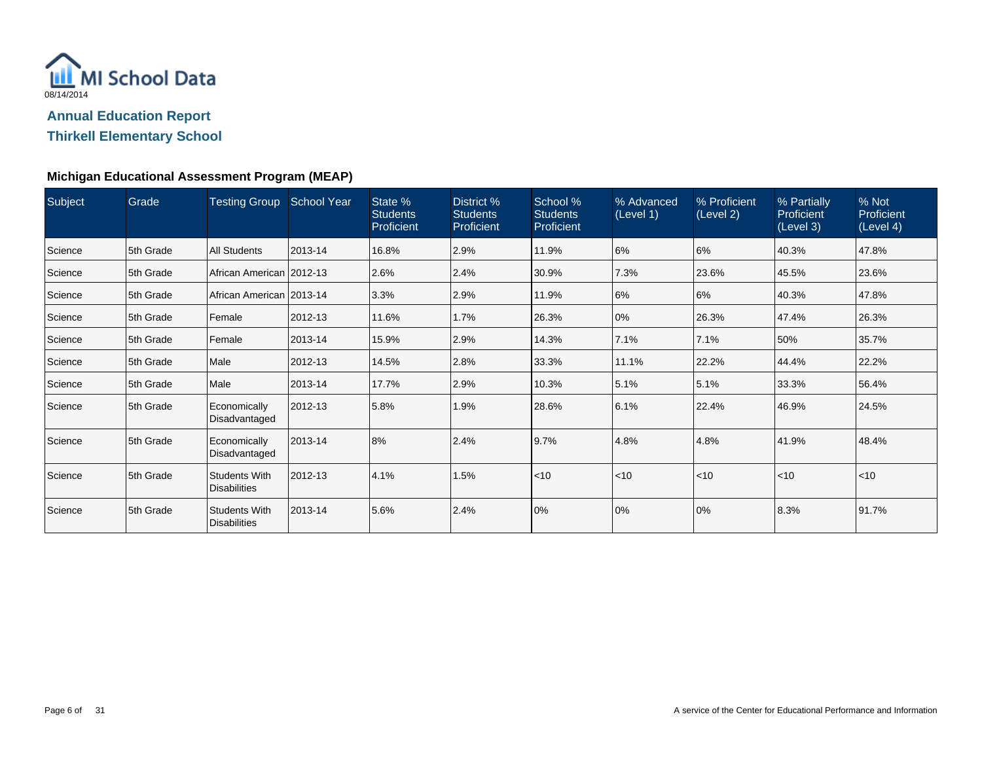

**Thirkell Elementary School**

#### **Michigan Educational Assessment Program (MEAP)**

| <b>Subject</b> | Grade     | Testing Group School Year                   |         | State %<br><b>Students</b><br>Proficient | District %<br><b>Students</b><br>Proficient | School %<br><b>Students</b><br>Proficient | % Advanced<br>(Level 1) | % Proficient<br>(Level 2) | % Partially<br>Proficient<br>(Level 3) | % Not<br>Proficient<br>(Level 4) |
|----------------|-----------|---------------------------------------------|---------|------------------------------------------|---------------------------------------------|-------------------------------------------|-------------------------|---------------------------|----------------------------------------|----------------------------------|
| Science        | 5th Grade | <b>All Students</b>                         | 2013-14 | 16.8%                                    | 2.9%                                        | 11.9%                                     | 6%                      | 6%                        | 40.3%                                  | 47.8%                            |
| Science        | 5th Grade | African American 2012-13                    |         | 2.6%                                     | 2.4%                                        | 30.9%                                     | 7.3%                    | 23.6%                     | 45.5%                                  | 23.6%                            |
| Science        | 5th Grade | African American 2013-14                    |         | 3.3%                                     | 2.9%                                        | 11.9%                                     | 6%                      | 6%                        | 40.3%                                  | 47.8%                            |
| Science        | 5th Grade | Female                                      | 2012-13 | 11.6%                                    | 1.7%                                        | 26.3%                                     | 0%                      | 26.3%                     | 47.4%                                  | 26.3%                            |
| Science        | 5th Grade | Female                                      | 2013-14 | 15.9%                                    | 2.9%                                        | 14.3%                                     | 7.1%                    | 7.1%                      | 50%                                    | 35.7%                            |
| Science        | 5th Grade | Male                                        | 2012-13 | 14.5%                                    | 2.8%                                        | 33.3%                                     | 11.1%                   | 22.2%                     | 44.4%                                  | 22.2%                            |
| Science        | 5th Grade | Male                                        | 2013-14 | 17.7%                                    | 2.9%                                        | 10.3%                                     | 15.1%                   | 5.1%                      | 33.3%                                  | 56.4%                            |
| Science        | 5th Grade | Economically<br>Disadvantaged               | 2012-13 | 5.8%                                     | 1.9%                                        | 28.6%                                     | 6.1%                    | 22.4%                     | 46.9%                                  | 24.5%                            |
| Science        | 5th Grade | Economically<br>Disadvantaged               | 2013-14 | 8%                                       | 2.4%                                        | 9.7%                                      | 4.8%                    | 4.8%                      | 41.9%                                  | 48.4%                            |
| Science        | 5th Grade | <b>Students With</b><br><b>Disabilities</b> | 2012-13 | 4.1%                                     | 1.5%                                        | l<10                                      | $\leq 10$               | $<$ 10                    | $ $ < 10                               | $<$ 10                           |
| Science        | 5th Grade | <b>Students With</b><br><b>Disabilities</b> | 2013-14 | 5.6%                                     | 2.4%                                        | 0%                                        | 0%                      | 0%                        | 8.3%                                   | 91.7%                            |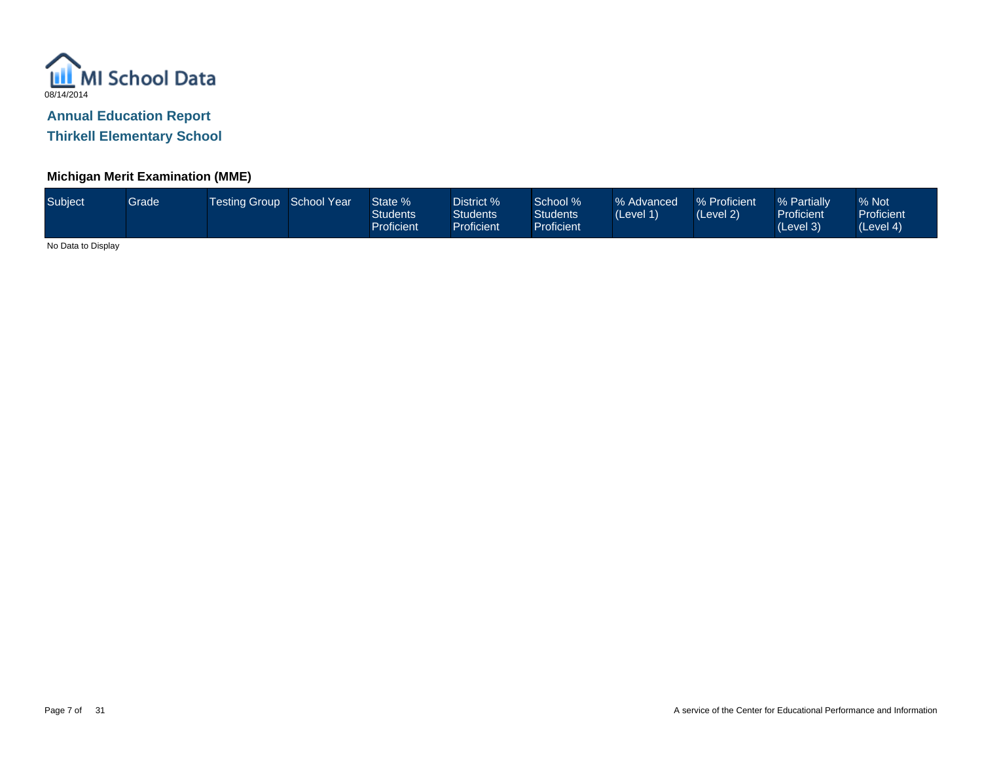

**Thirkell Elementary School**

### **Michigan Merit Examination (MME)**

| Subject | Grade | Testing Group School Year |  | State %<br>Students<br>Proficient | District %<br>Students <sup>®</sup><br><b>Proficient</b> | School %<br><b>Students</b><br>Proficient <sup>1</sup> | % Advanced<br>(Level 1) | % Proficient<br>(Level 2) | % Partially<br><b>Proficient</b><br>(Level 3) | % Not<br><b>Proficient</b><br>(Level 4) |
|---------|-------|---------------------------|--|-----------------------------------|----------------------------------------------------------|--------------------------------------------------------|-------------------------|---------------------------|-----------------------------------------------|-----------------------------------------|
|---------|-------|---------------------------|--|-----------------------------------|----------------------------------------------------------|--------------------------------------------------------|-------------------------|---------------------------|-----------------------------------------------|-----------------------------------------|

No Data to Display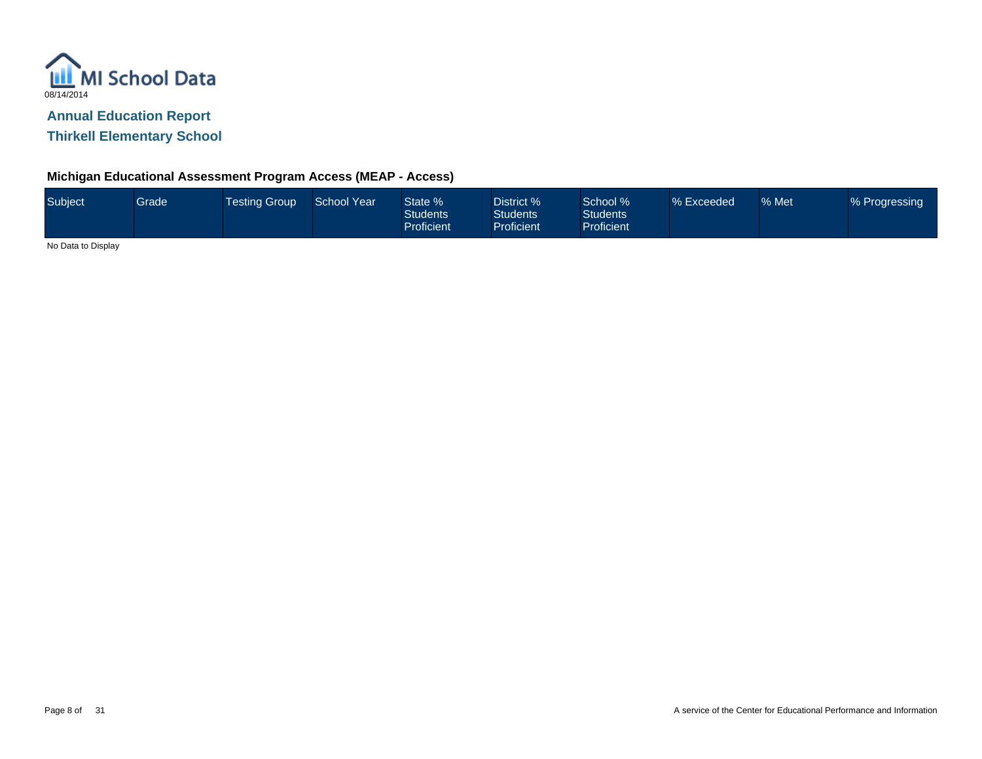

**Thirkell Elementary School**

#### **Michigan Educational Assessment Program Access (MEAP - Access)**

|  | Subject | Grade | Festing Group | School Year | State %<br><b>Students</b><br><b>Proficient</b> | District %<br>Students <sup>1</sup><br><b>Proficient</b> | School %<br>Students <sup>1</sup><br><b>Proficient</b> | % Exceeded | % Met | % Progressing |
|--|---------|-------|---------------|-------------|-------------------------------------------------|----------------------------------------------------------|--------------------------------------------------------|------------|-------|---------------|
|--|---------|-------|---------------|-------------|-------------------------------------------------|----------------------------------------------------------|--------------------------------------------------------|------------|-------|---------------|

No Data to Display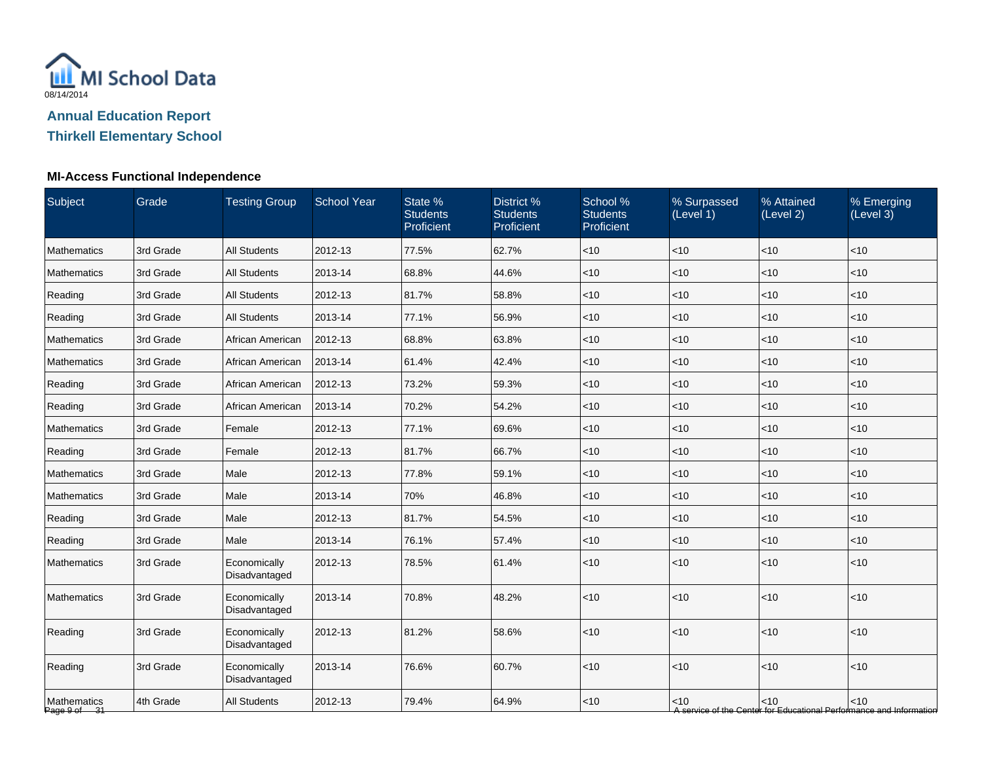

## **Thirkell Elementary School**

| Subject                     | Grade     | <b>Testing Group</b>          | <b>School Year</b> | State %<br><b>Students</b><br>Proficient | District %<br><b>Students</b><br>Proficient | School %<br><b>Students</b><br>Proficient | % Surpassed<br>(Level 1) | % Attained<br>(Level 2) | % Emerging<br>(Level 3)                                                       |
|-----------------------------|-----------|-------------------------------|--------------------|------------------------------------------|---------------------------------------------|-------------------------------------------|--------------------------|-------------------------|-------------------------------------------------------------------------------|
| <b>Mathematics</b>          | 3rd Grade | <b>All Students</b>           | 2012-13            | 77.5%                                    | 62.7%                                       | $<$ 10                                    | $<$ 10                   | <10                     | < 10                                                                          |
| <b>Mathematics</b>          | 3rd Grade | <b>All Students</b>           | 2013-14            | 68.8%                                    | 44.6%                                       | < 10                                      | $<$ 10                   | < 10                    | < 10                                                                          |
| Reading                     | 3rd Grade | <b>All Students</b>           | 2012-13            | 81.7%                                    | 58.8%                                       | $<$ 10                                    | < 10                     | < 10                    | $<$ 10                                                                        |
| Reading                     | 3rd Grade | All Students                  | 2013-14            | 77.1%                                    | 56.9%                                       | $<$ 10                                    | $<$ 10                   | $<$ 10                  | $<$ 10                                                                        |
| <b>Mathematics</b>          | 3rd Grade | African American              | 2012-13            | 68.8%                                    | 63.8%                                       | $<$ 10                                    | $<$ 10                   | < 10                    | < 10                                                                          |
| Mathematics                 | 3rd Grade | African American              | 2013-14            | 61.4%                                    | 42.4%                                       | < 10                                      | $<$ 10                   | < 10                    | < 10                                                                          |
| Reading                     | 3rd Grade | African American              | 2012-13            | 73.2%                                    | 59.3%                                       | < 10                                      | $<$ 10                   | < 10                    | < 10                                                                          |
| Reading                     | 3rd Grade | African American              | 2013-14            | 70.2%                                    | 54.2%                                       | $<$ 10                                    | $<$ 10                   | < 10                    | < 10                                                                          |
| <b>Mathematics</b>          | 3rd Grade | Female                        | 2012-13            | 77.1%                                    | 69.6%                                       | $<$ 10                                    | $<$ 10                   | < 10                    | $<$ 10                                                                        |
| Reading                     | 3rd Grade | Female                        | 2012-13            | 81.7%                                    | 66.7%                                       | $<$ 10                                    | $<$ 10                   | < 10                    | $<$ 10                                                                        |
| <b>Mathematics</b>          | 3rd Grade | Male                          | 2012-13            | 77.8%                                    | 59.1%                                       | $<$ 10                                    | $<$ 10                   | <10                     | < 10                                                                          |
| Mathematics                 | 3rd Grade | Male                          | 2013-14            | 70%                                      | 46.8%                                       | $<$ 10                                    | $<$ 10                   | < 10                    | $<$ 10                                                                        |
| Reading                     | 3rd Grade | Male                          | 2012-13            | 81.7%                                    | 54.5%                                       | $<$ 10                                    | < 10                     | < 10                    | < 10                                                                          |
| Reading                     | 3rd Grade | Male                          | 2013-14            | 76.1%                                    | 57.4%                                       | $<$ 10                                    | < 10                     | < 10                    | $<$ 10                                                                        |
| Mathematics                 | 3rd Grade | Economically<br>Disadvantaged | 2012-13            | 78.5%                                    | 61.4%                                       | $<$ 10                                    | < 10                     | < 10                    | $<$ 10                                                                        |
| <b>Mathematics</b>          | 3rd Grade | Economically<br>Disadvantaged | 2013-14            | 70.8%                                    | 48.2%                                       | < 10                                      | < 10                     | <10                     | $<$ 10                                                                        |
| Reading                     | 3rd Grade | Economically<br>Disadvantaged | 2012-13            | 81.2%                                    | 58.6%                                       | $<$ 10                                    | $<$ 10                   | < 10                    | < 10                                                                          |
| Reading                     | 3rd Grade | Economically<br>Disadvantaged | 2013-14            | 76.6%                                    | 60.7%                                       | < 10                                      | < 10                     | <10                     | $<$ 10                                                                        |
| Mathematics<br>Page 9 of 31 | 4th Grade | <b>All Students</b>           | 2012-13            | 79.4%                                    | 64.9%                                       | $<$ 10                                    | $<$ 10                   | $<$ 10                  | $<$ 10<br>A service of the Center for Educational Performance and Information |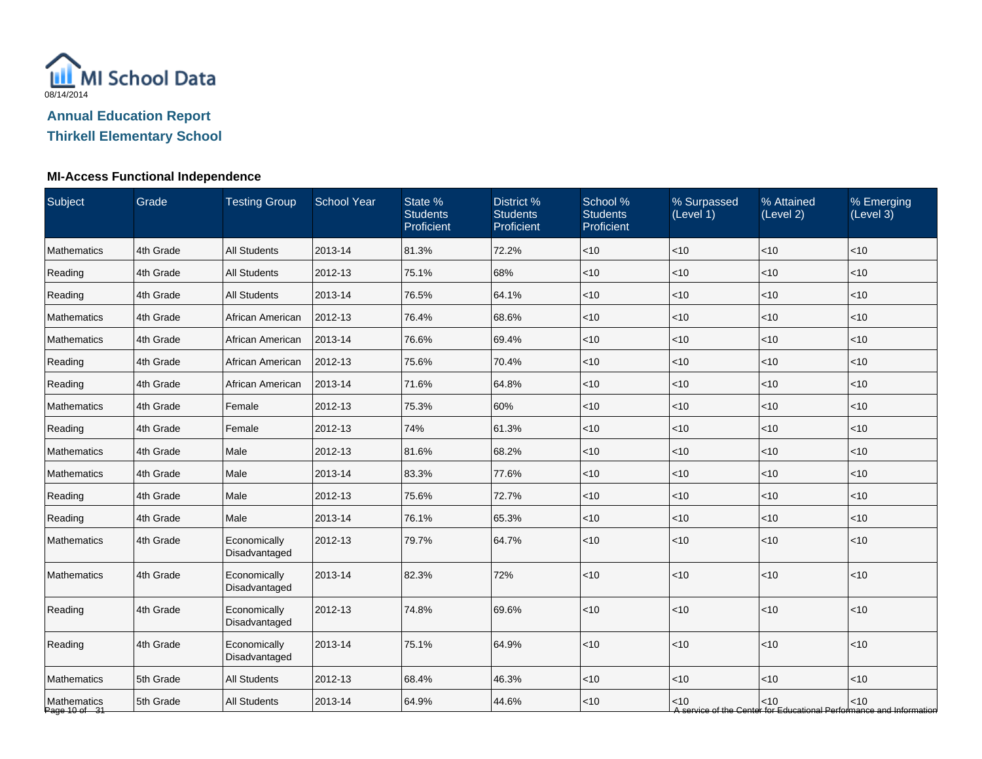

## **Thirkell Elementary School**

| Subject                      | Grade     | <b>Testing Group</b>          | <b>School Year</b> | State %<br><b>Students</b><br>Proficient | District %<br><b>Students</b><br>Proficient | School %<br><b>Students</b><br>Proficient | % Surpassed<br>(Level 1) | % Attained<br>(Level 2) | % Emerging<br>(Level 3)                                                       |
|------------------------------|-----------|-------------------------------|--------------------|------------------------------------------|---------------------------------------------|-------------------------------------------|--------------------------|-------------------------|-------------------------------------------------------------------------------|
| <b>Mathematics</b>           | 4th Grade | <b>All Students</b>           | 2013-14            | 81.3%                                    | 72.2%                                       | < 10                                      | <10                      | <10                     | < 10                                                                          |
| Reading                      | 4th Grade | <b>All Students</b>           | 2012-13            | 75.1%                                    | 68%                                         | $<$ 10                                    | < 10                     | < 10                    | $<$ 10                                                                        |
| Reading                      | 4th Grade | <b>All Students</b>           | 2013-14            | 76.5%                                    | 64.1%                                       | $<$ 10                                    | <10                      | < 10                    | $<$ 10                                                                        |
| Mathematics                  | 4th Grade | African American              | 2012-13            | 76.4%                                    | 68.6%                                       | $<$ 10                                    | $<$ 10                   | < 10                    | $<$ 10                                                                        |
| Mathematics                  | 4th Grade | African American              | 2013-14            | 76.6%                                    | 69.4%                                       | $<$ 10                                    | $<$ 10                   | < 10                    | $<$ 10                                                                        |
| Reading                      | 4th Grade | African American              | 2012-13            | 75.6%                                    | 70.4%                                       | $<$ 10                                    | <10                      | < 10                    | < 10                                                                          |
| Reading                      | 4th Grade | African American              | 2013-14            | 71.6%                                    | 64.8%                                       | $<$ 10                                    | <10                      | $<$ 10                  | < 10                                                                          |
| Mathematics                  | 4th Grade | Female                        | 2012-13            | 75.3%                                    | 60%                                         | $<$ 10                                    | $<$ 10                   | < 10                    | < 10                                                                          |
| Reading                      | 4th Grade | Female                        | 2012-13            | 74%                                      | 61.3%                                       | $<$ 10                                    | < 10                     | < 10                    | $<$ 10                                                                        |
| Mathematics                  | 4th Grade | Male                          | 2012-13            | 81.6%                                    | 68.2%                                       | $<$ 10                                    | $<$ 10                   | $<$ 10                  | $<$ 10                                                                        |
| Mathematics                  | 4th Grade | Male                          | 2013-14            | 83.3%                                    | 77.6%                                       | $<$ 10                                    | $<$ 10                   | <10                     | <10                                                                           |
| Reading                      | 4th Grade | Male                          | 2012-13            | 75.6%                                    | 72.7%                                       | $<$ 10                                    | < 10                     | < 10                    | $<$ 10                                                                        |
| Reading                      | 4th Grade | Male                          | 2013-14            | 76.1%                                    | 65.3%                                       | $<$ 10                                    | <10                      | < 10                    | $<10$                                                                         |
| <b>Mathematics</b>           | 4th Grade | Economically<br>Disadvantaged | 2012-13            | 79.7%                                    | 64.7%                                       | $<$ 10                                    | < 10                     | < 10                    | $<$ 10                                                                        |
| Mathematics                  | 4th Grade | Economically<br>Disadvantaged | 2013-14            | 82.3%                                    | 72%                                         | $<$ 10                                    | <10                      | <10                     | $<10$                                                                         |
| Reading                      | 4th Grade | Economically<br>Disadvantaged | 2012-13            | 74.8%                                    | 69.6%                                       | $<$ 10                                    | <10                      | <10                     | $<10$                                                                         |
| Reading                      | 4th Grade | Economically<br>Disadvantaged | 2013-14            | 75.1%                                    | 64.9%                                       | $<$ 10                                    | <10                      | <10                     | $<$ 10                                                                        |
| Mathematics                  | 5th Grade | <b>All Students</b>           | 2012-13            | 68.4%                                    | 46.3%                                       | $<$ 10                                    | <10                      | < 10                    | $<$ 10                                                                        |
| Mathematics<br>Page 10 of 31 | 5th Grade | <b>All Students</b>           | 2013-14            | 64.9%                                    | 44.6%                                       | $<$ 10                                    | $<$ 10                   | < 10                    | $<$ 10<br>A service of the Center for Educational Performance and Information |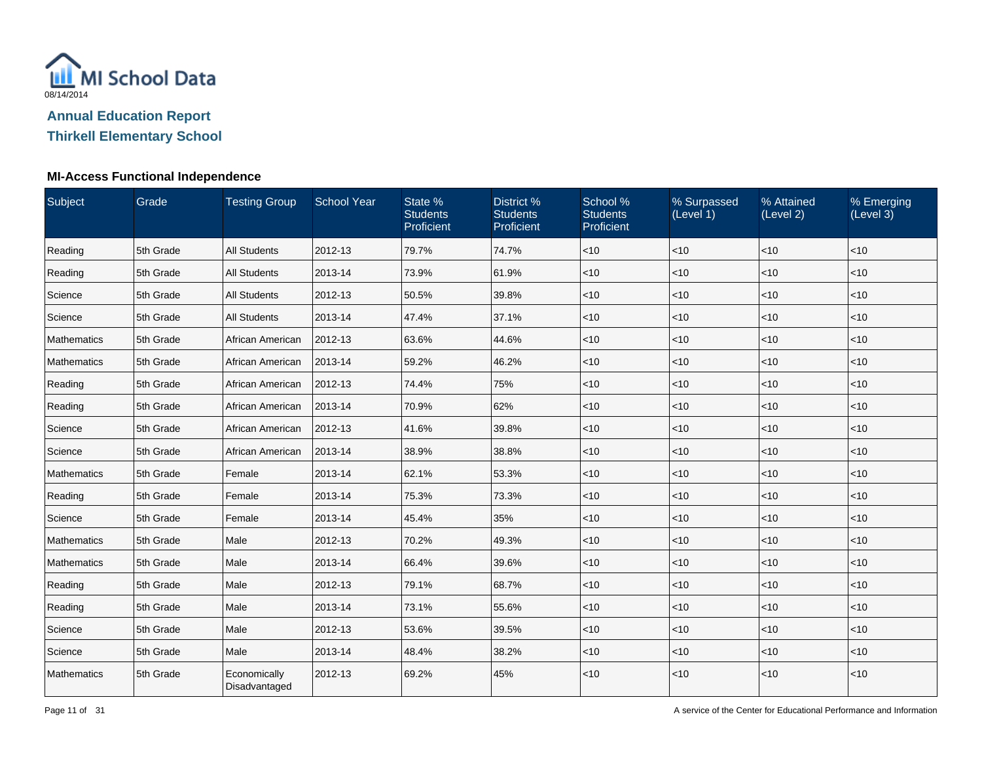

### **Thirkell Elementary School**

| Subject            | Grade     | <b>Testing Group</b>          | <b>School Year</b> | State %<br><b>Students</b><br>Proficient | District %<br><b>Students</b><br>Proficient | School %<br><b>Students</b><br>Proficient | % Surpassed<br>(Level 1) | % Attained<br>(Level 2) | % Emerging<br>(Level 3) |
|--------------------|-----------|-------------------------------|--------------------|------------------------------------------|---------------------------------------------|-------------------------------------------|--------------------------|-------------------------|-------------------------|
| Reading            | 5th Grade | <b>All Students</b>           | 2012-13            | 79.7%                                    | 74.7%                                       | < 10                                      | <10                      | < 10                    | < 10                    |
| Reading            | 5th Grade | <b>All Students</b>           | 2013-14            | 73.9%                                    | 61.9%                                       | < 10                                      | $<$ 10                   | < 10                    | $<$ 10                  |
| Science            | 5th Grade | <b>All Students</b>           | 2012-13            | 50.5%                                    | 39.8%                                       | $ $ < 10                                  | <10                      | $<$ 10                  | < 10                    |
| Science            | 5th Grade | All Students                  | 2013-14            | 47.4%                                    | 37.1%                                       | $<$ 10                                    | <10                      | < 10                    | < 10                    |
| <b>Mathematics</b> | 5th Grade | African American              | 2012-13            | 63.6%                                    | 44.6%                                       | < 10                                      | $<$ 10                   | < 10                    | $<$ 10                  |
| Mathematics        | 5th Grade | African American              | 2013-14            | 59.2%                                    | 46.2%                                       | < 10                                      | <10                      | < 10                    | $<$ 10                  |
| Reading            | 5th Grade | African American              | 2012-13            | 74.4%                                    | 75%                                         | $<$ 10                                    | $<$ 10                   | < 10                    | $<$ 10                  |
| Reading            | 5th Grade | African American              | 2013-14            | 70.9%                                    | 62%                                         | < 10                                      | $<$ 10                   | $<$ 10                  | < 10                    |
| Science            | 5th Grade | African American              | 2012-13            | 41.6%                                    | 39.8%                                       | < 10                                      | $<$ 10                   | $<$ 10                  | $<$ 10                  |
| Science            | 5th Grade | African American              | 2013-14            | 38.9%                                    | 38.8%                                       | $ $ < 10                                  | <10                      | $\vert$ < 10            | < 10                    |
| Mathematics        | 5th Grade | Female                        | 2013-14            | 62.1%                                    | 53.3%                                       | < 10                                      | < 10                     | < 10                    | < 10                    |
| Reading            | 5th Grade | Female                        | 2013-14            | 75.3%                                    | 73.3%                                       | $<$ 10                                    | $<$ 10                   | $<$ 10                  | $<$ 10                  |
| Science            | 5th Grade | Female                        | 2013-14            | 45.4%                                    | 35%                                         | $ $ < 10                                  | <10                      | $ $ < 10                | $<$ 10                  |
| Mathematics        | 5th Grade | Male                          | 2012-13            | 70.2%                                    | 49.3%                                       | <10                                       | <10                      | < 10                    | $<$ 10                  |
| Mathematics        | 5th Grade | Male                          | 2013-14            | 66.4%                                    | 39.6%                                       | < 10                                      | $<$ 10                   | < 10                    | $<$ 10                  |
| Reading            | 5th Grade | Male                          | 2012-13            | 79.1%                                    | 68.7%                                       | < 10                                      | <10                      | < 10                    | $<$ 10                  |
| Reading            | 5th Grade | Male                          | 2013-14            | 73.1%                                    | 55.6%                                       | $<$ 10                                    | $<$ 10                   | < 10                    | $<$ 10                  |
| Science            | 5th Grade | Male                          | 2012-13            | 53.6%                                    | 39.5%                                       | $<$ 10                                    | $<$ 10                   | $<$ 10                  | < 10                    |
| Science            | 5th Grade | Male                          | 2013-14            | 48.4%                                    | 38.2%                                       | < 10                                      | $<$ 10                   | < 10                    | $<$ 10                  |
| Mathematics        | 5th Grade | Economically<br>Disadvantaged | 2012-13            | 69.2%                                    | 45%                                         | $ $ < 10                                  | <10                      | < 10                    | $<10$                   |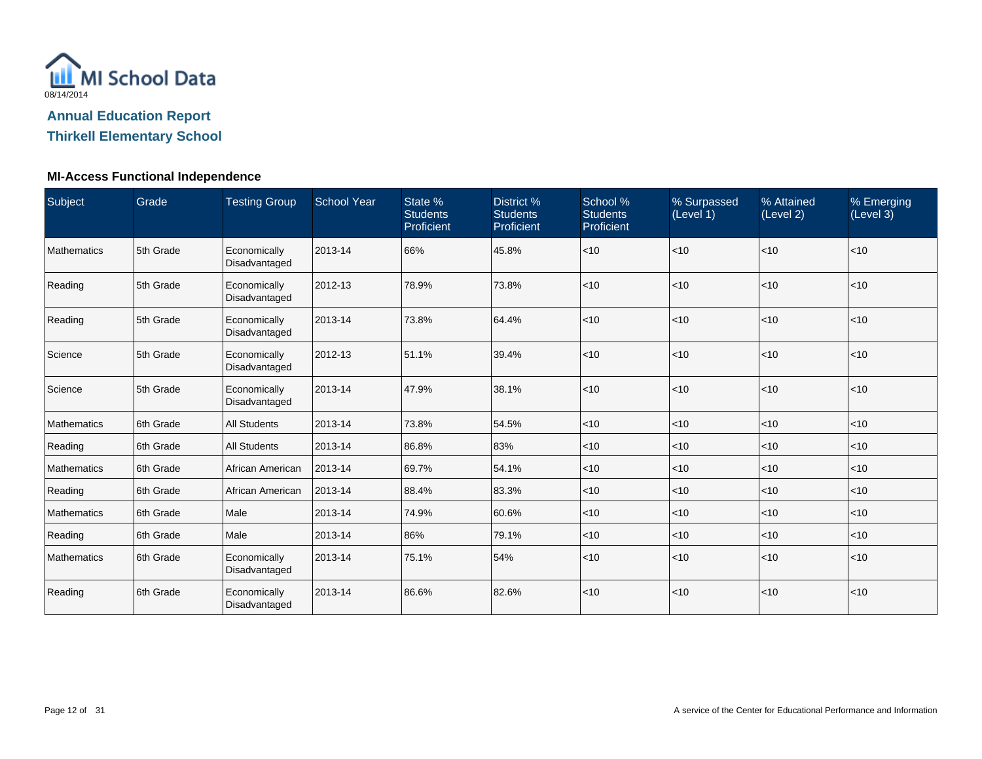

### **Thirkell Elementary School**

| Subject            | Grade     | <b>Testing Group</b>          | <b>School Year</b> | State %<br><b>Students</b><br>Proficient | District %<br><b>Students</b><br>Proficient | School %<br><b>Students</b><br>Proficient | % Surpassed<br>(Level 1) | % Attained<br>(Level 2) | % Emerging<br>(Level 3) |
|--------------------|-----------|-------------------------------|--------------------|------------------------------------------|---------------------------------------------|-------------------------------------------|--------------------------|-------------------------|-------------------------|
| <b>Mathematics</b> | 5th Grade | Economically<br>Disadvantaged | 2013-14            | 66%                                      | 45.8%                                       | $ $ < 10                                  | < 10                     | <10                     | $<$ 10                  |
| Reading            | 5th Grade | Economically<br>Disadvantaged | 2012-13            | 78.9%                                    | 73.8%                                       | < 10                                      | <10                      | <10                     | <10                     |
| Reading            | 5th Grade | Economically<br>Disadvantaged | 2013-14            | 73.8%                                    | 64.4%                                       | $\vert$ < 10                              | <10                      | <10                     | < 10                    |
| Science            | 5th Grade | Economically<br>Disadvantaged | 2012-13            | 51.1%                                    | 39.4%                                       | $\vert$ < 10                              | <10                      | < 10                    | < 10                    |
| Science            | 5th Grade | Economically<br>Disadvantaged | 2013-14            | 47.9%                                    | 38.1%                                       | $\vert$ < 10                              | <10                      | < 10                    | < 10                    |
| <b>Mathematics</b> | 6th Grade | <b>All Students</b>           | 2013-14            | 73.8%                                    | 54.5%                                       | $\vert$ < 10                              | $<$ 10                   | < 10                    | $<$ 10                  |
| Reading            | 6th Grade | <b>All Students</b>           | 2013-14            | 86.8%                                    | 83%                                         | $ $ < 10                                  | $<$ 10                   | <10                     | $<$ 10                  |
| <b>Mathematics</b> | 6th Grade | African American              | 2013-14            | 69.7%                                    | 54.1%                                       | $ $ < 10                                  | $<$ 10                   | < 10                    | $<$ 10                  |
| Reading            | 6th Grade | African American              | 2013-14            | 88.4%                                    | 83.3%                                       | $ $ < 10                                  | $<$ 10                   | < 10                    | $<$ 10                  |
| Mathematics        | 6th Grade | Male                          | 2013-14            | 74.9%                                    | 60.6%                                       | $ $ < 10                                  | $<$ 10                   | <10                     | $<$ 10                  |
| Reading            | 6th Grade | Male                          | 2013-14            | 86%                                      | 79.1%                                       | $ $ < 10                                  | $<$ 10                   | <10                     | < 10                    |
| <b>Mathematics</b> | 6th Grade | Economically<br>Disadvantaged | 2013-14            | 75.1%                                    | 54%                                         | $ $ < 10                                  | $<$ 10                   | < 10                    | < 10                    |
| Reading            | 6th Grade | Economically<br>Disadvantaged | 2013-14            | 86.6%                                    | 82.6%                                       | $ $ < 10                                  | <10                      | < 10                    | < 10                    |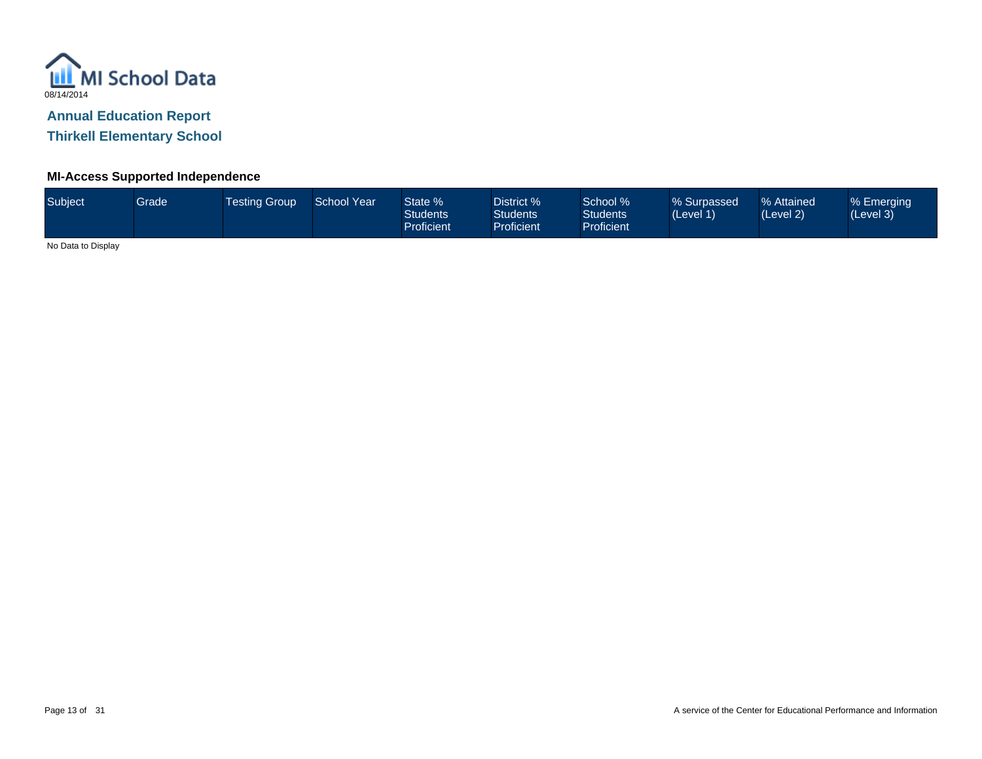

**Thirkell Elementary School**

#### **MI-Access Supported Independence**

| Subject | Grade | Testing Group_ | <b>School Year</b> | State %<br><b>Students</b><br><b>Proficient</b> | District %<br><b>Students</b><br><b>Proficient</b> | School %<br><b>Students</b><br><b>Proficient</b> | % Surpassed<br>(Level 1) | % Attained<br>(Level 2) | % Emerging<br>(Level 3) |  |
|---------|-------|----------------|--------------------|-------------------------------------------------|----------------------------------------------------|--------------------------------------------------|--------------------------|-------------------------|-------------------------|--|
| .       |       |                |                    |                                                 |                                                    |                                                  |                          |                         |                         |  |

No Data to Display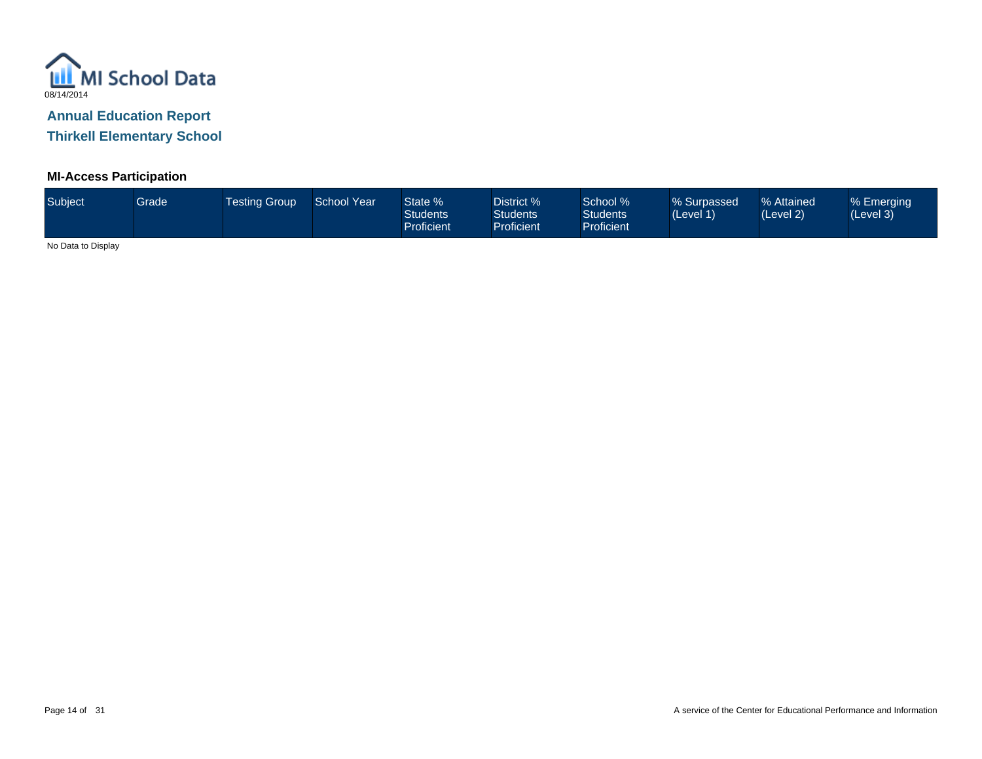

**Thirkell Elementary School**

#### **MI-Access Participation**

| Subject           | Grade | <b>Testing Group</b> | <b>School Year</b> | State %<br><b>Students</b><br><b>Proficient</b> | District %<br><b>Students</b><br><b>Proficient</b> | School %<br><b>Students</b><br><b>Proficient</b> | % Surpassed<br>(Level 1) | % Attained<br>(Level 2) | % Emerging<br>(Level 3) |  |
|-------------------|-------|----------------------|--------------------|-------------------------------------------------|----------------------------------------------------|--------------------------------------------------|--------------------------|-------------------------|-------------------------|--|
| $\cdots$ $\cdots$ |       |                      |                    |                                                 |                                                    |                                                  |                          |                         |                         |  |

No Data to Display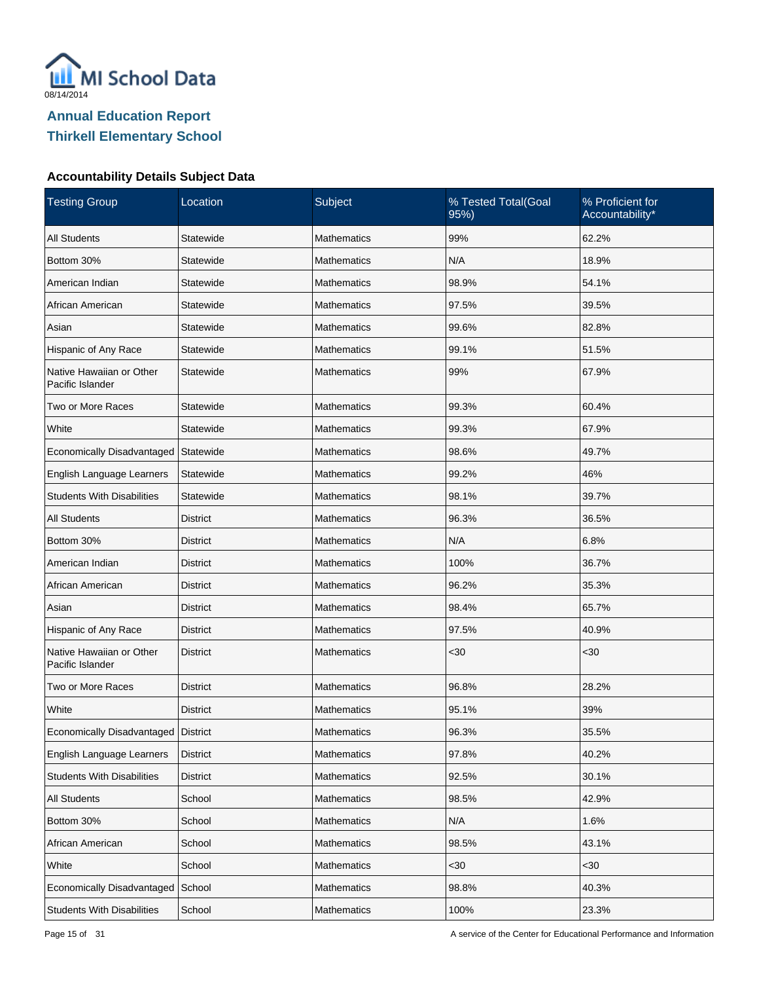

| <b>Testing Group</b>                         | Location        | Subject            | % Tested Total(Goal<br>95%) | % Proficient for<br>Accountability* |
|----------------------------------------------|-----------------|--------------------|-----------------------------|-------------------------------------|
| <b>All Students</b>                          | Statewide       | <b>Mathematics</b> | 99%                         | 62.2%                               |
| Bottom 30%                                   | Statewide       | <b>Mathematics</b> | N/A                         | 18.9%                               |
| American Indian                              | Statewide       | Mathematics        | 98.9%                       | 54.1%                               |
| African American                             | Statewide       | Mathematics        | 97.5%                       | 39.5%                               |
| Asian                                        | Statewide       | Mathematics        | 99.6%                       | 82.8%                               |
| Hispanic of Any Race                         | Statewide       | Mathematics        | 99.1%                       | 51.5%                               |
| Native Hawaiian or Other<br>Pacific Islander | Statewide       | Mathematics        | 99%                         | 67.9%                               |
| Two or More Races                            | Statewide       | <b>Mathematics</b> | 99.3%                       | 60.4%                               |
| White                                        | Statewide       | <b>Mathematics</b> | 99.3%                       | 67.9%                               |
| Economically Disadvantaged                   | Statewide       | <b>Mathematics</b> | 98.6%                       | 49.7%                               |
| English Language Learners                    | Statewide       | <b>Mathematics</b> | 99.2%                       | 46%                                 |
| <b>Students With Disabilities</b>            | Statewide       | <b>Mathematics</b> | 98.1%                       | 39.7%                               |
| <b>All Students</b>                          | <b>District</b> | <b>Mathematics</b> | 96.3%                       | 36.5%                               |
| Bottom 30%                                   | <b>District</b> | <b>Mathematics</b> | N/A                         | 6.8%                                |
| American Indian                              | <b>District</b> | <b>Mathematics</b> | 100%                        | 36.7%                               |
| African American                             | <b>District</b> | <b>Mathematics</b> | 96.2%                       | 35.3%                               |
| Asian                                        | <b>District</b> | <b>Mathematics</b> | 98.4%                       | 65.7%                               |
| Hispanic of Any Race                         | <b>District</b> | <b>Mathematics</b> | 97.5%                       | 40.9%                               |
| Native Hawaiian or Other<br>Pacific Islander | <b>District</b> | <b>Mathematics</b> | $30$                        | $30$                                |
| Two or More Races                            | <b>District</b> | <b>Mathematics</b> | 96.8%                       | 28.2%                               |
| White                                        | <b>District</b> | Mathematics        | 95.1%                       | 39%                                 |
| Economically Disadvantaged                   | District        | <b>Mathematics</b> | 96.3%                       | 35.5%                               |
| English Language Learners                    | <b>District</b> | Mathematics        | 97.8%                       | 40.2%                               |
| <b>Students With Disabilities</b>            | <b>District</b> | Mathematics        | 92.5%                       | 30.1%                               |
| All Students                                 | School          | Mathematics        | 98.5%                       | 42.9%                               |
| Bottom 30%                                   | School          | Mathematics        | N/A                         | 1.6%                                |
| African American                             | School          | Mathematics        | 98.5%                       | 43.1%                               |
| White                                        | School          | Mathematics        | $30$                        | <30                                 |
| Economically Disadvantaged                   | School          | Mathematics        | 98.8%                       | 40.3%                               |
| <b>Students With Disabilities</b>            | School          | Mathematics        | 100%                        | 23.3%                               |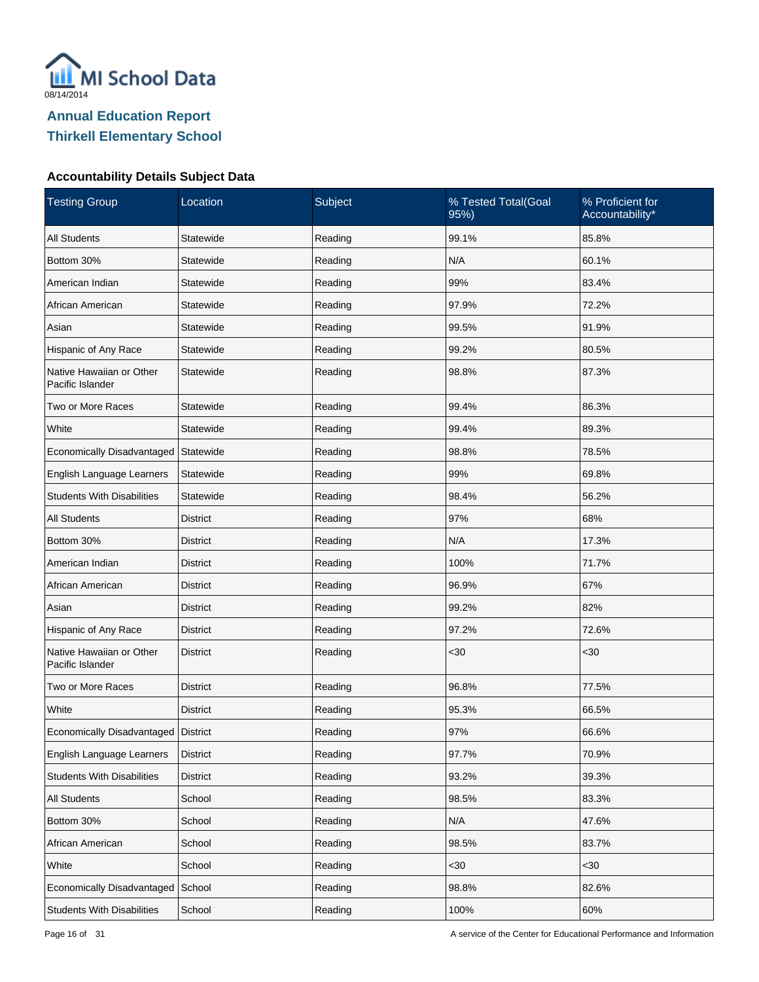

| <b>Testing Group</b>                         | Location        | Subject | % Tested Total(Goal<br>95%) | % Proficient for<br>Accountability* |  |
|----------------------------------------------|-----------------|---------|-----------------------------|-------------------------------------|--|
| <b>All Students</b>                          | Statewide       | Reading | 99.1%                       | 85.8%                               |  |
| Bottom 30%                                   | Statewide       | Reading | N/A                         | 60.1%                               |  |
| American Indian                              | Statewide       | Reading | 99%                         | 83.4%                               |  |
| African American                             | Statewide       | Reading | 97.9%                       | 72.2%                               |  |
| Asian                                        | Statewide       | Reading | 99.5%                       | 91.9%                               |  |
| Hispanic of Any Race                         | Statewide       | Reading | 99.2%                       | 80.5%                               |  |
| Native Hawaiian or Other<br>Pacific Islander | Statewide       | Reading | 98.8%                       | 87.3%                               |  |
| Two or More Races                            | Statewide       | Reading | 99.4%                       | 86.3%                               |  |
| White                                        | Statewide       | Reading | 99.4%                       | 89.3%                               |  |
| Economically Disadvantaged                   | Statewide       | Reading | 98.8%                       | 78.5%                               |  |
| English Language Learners                    | Statewide       | Reading | 99%                         | 69.8%                               |  |
| <b>Students With Disabilities</b>            | Statewide       | Reading | 98.4%                       | 56.2%                               |  |
| <b>All Students</b>                          | <b>District</b> | Reading | 97%                         | 68%                                 |  |
| Bottom 30%                                   | <b>District</b> | Reading | N/A                         | 17.3%                               |  |
| American Indian                              | <b>District</b> | Reading | 100%                        | 71.7%                               |  |
| African American                             | <b>District</b> | Reading | 96.9%                       | 67%                                 |  |
| Asian                                        | <b>District</b> | Reading | 99.2%                       | 82%                                 |  |
| Hispanic of Any Race                         | <b>District</b> | Reading | 97.2%                       | 72.6%                               |  |
| Native Hawaiian or Other<br>Pacific Islander | <b>District</b> | Reading | <30                         | $30$                                |  |
| Two or More Races                            | <b>District</b> | Reading | 96.8%                       | 77.5%                               |  |
| White                                        | <b>District</b> | Reading | 95.3%                       | 66.5%                               |  |
| Economically Disadvantaged                   | District        | Reading | 97%                         | 66.6%                               |  |
| English Language Learners                    | <b>District</b> | Reading | 97.7%                       | 70.9%                               |  |
| <b>Students With Disabilities</b>            | <b>District</b> | Reading | 93.2%                       | 39.3%                               |  |
| All Students                                 | School          | Reading | 98.5%                       | 83.3%                               |  |
| Bottom 30%                                   | School          | Reading | N/A                         | 47.6%                               |  |
| African American                             | School          | Reading | 98.5%                       | 83.7%                               |  |
| White                                        | School          | Reading | $30$                        | <30                                 |  |
| Economically Disadvantaged                   | School          | Reading | 98.8%                       | 82.6%                               |  |
| <b>Students With Disabilities</b>            | School          | Reading | 100%                        | 60%                                 |  |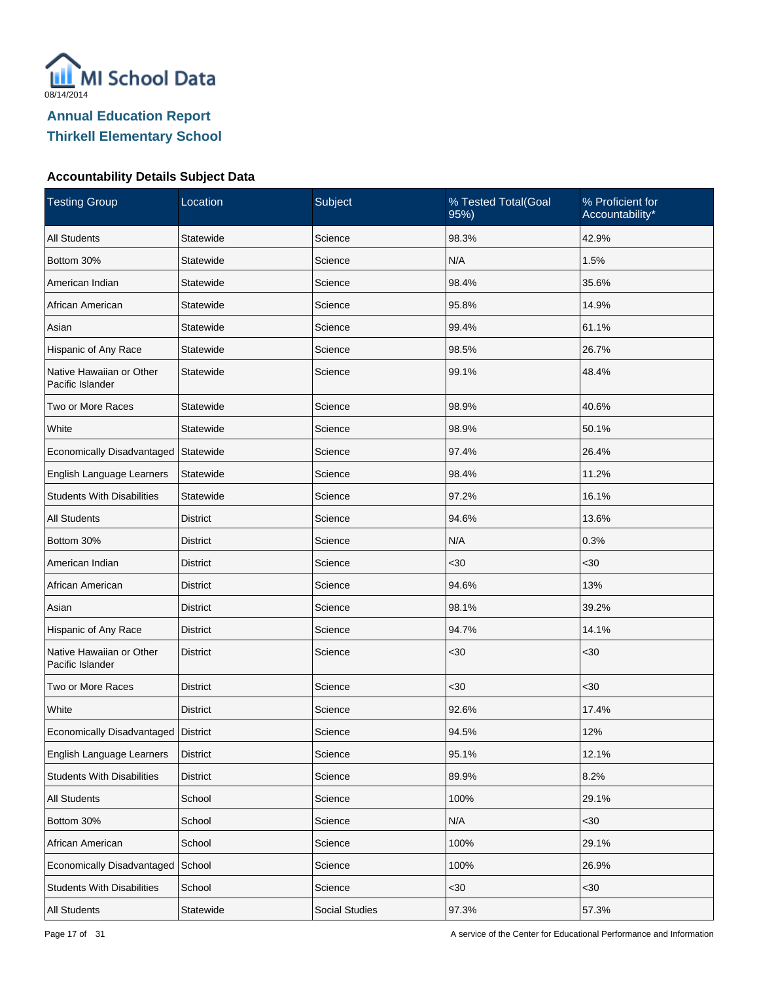

| <b>Testing Group</b>                         | Location        | Subject        | % Tested Total(Goal<br>95%) | % Proficient for<br>Accountability* |
|----------------------------------------------|-----------------|----------------|-----------------------------|-------------------------------------|
| <b>All Students</b>                          | Statewide       | Science        | 98.3%                       | 42.9%                               |
| Bottom 30%                                   | Statewide       | Science        | N/A                         | 1.5%                                |
| American Indian                              | Statewide       | Science        | 98.4%                       | 35.6%                               |
| African American                             | Statewide       | Science        | 95.8%                       | 14.9%                               |
| Asian                                        | Statewide       | Science        | 99.4%                       | 61.1%                               |
| Hispanic of Any Race                         | Statewide       | Science        | 98.5%                       | 26.7%                               |
| Native Hawaiian or Other<br>Pacific Islander | Statewide       | Science        | 99.1%                       | 48.4%                               |
| Two or More Races                            | Statewide       | Science        | 98.9%                       | 40.6%                               |
| White                                        | Statewide       | Science        | 98.9%                       | 50.1%                               |
| Economically Disadvantaged Statewide         |                 | Science        | 97.4%                       | 26.4%                               |
| English Language Learners                    | Statewide       | Science        | 98.4%                       | 11.2%                               |
| <b>Students With Disabilities</b>            | Statewide       | Science        | 97.2%                       | 16.1%                               |
| <b>All Students</b>                          | <b>District</b> | Science        | 94.6%                       | 13.6%                               |
| Bottom 30%                                   | <b>District</b> | Science        | N/A                         | 0.3%                                |
| American Indian                              | <b>District</b> | Science        | <30                         | $30$                                |
| African American                             | <b>District</b> | Science        | 94.6%                       | 13%                                 |
| Asian                                        | <b>District</b> | Science        | 98.1%                       | 39.2%                               |
| Hispanic of Any Race                         | <b>District</b> | Science        | 94.7%                       | 14.1%                               |
| Native Hawaiian or Other<br>Pacific Islander | <b>District</b> | Science        | <30                         | $30$                                |
| Two or More Races                            | <b>District</b> | Science        | $30$                        | $30$                                |
| White                                        | <b>District</b> | Science        | 92.6%                       | 17.4%                               |
| Economically Disadvantaged                   | District        | Science        | 94.5%                       | 12%                                 |
| English Language Learners                    | <b>District</b> | Science        | 95.1%                       | 12.1%                               |
| <b>Students With Disabilities</b>            | <b>District</b> | Science        | 89.9%                       | 8.2%                                |
| All Students                                 | School          | Science        | 100%                        | 29.1%                               |
| Bottom 30%                                   | School          | Science        | N/A                         | <30                                 |
| African American                             | School          | Science        | 100%                        | 29.1%                               |
| Economically Disadvantaged                   | School          | Science        | 100%                        | 26.9%                               |
| <b>Students With Disabilities</b>            | School          | Science        | $30$                        | <30                                 |
| All Students                                 | Statewide       | Social Studies | 97.3%                       | 57.3%                               |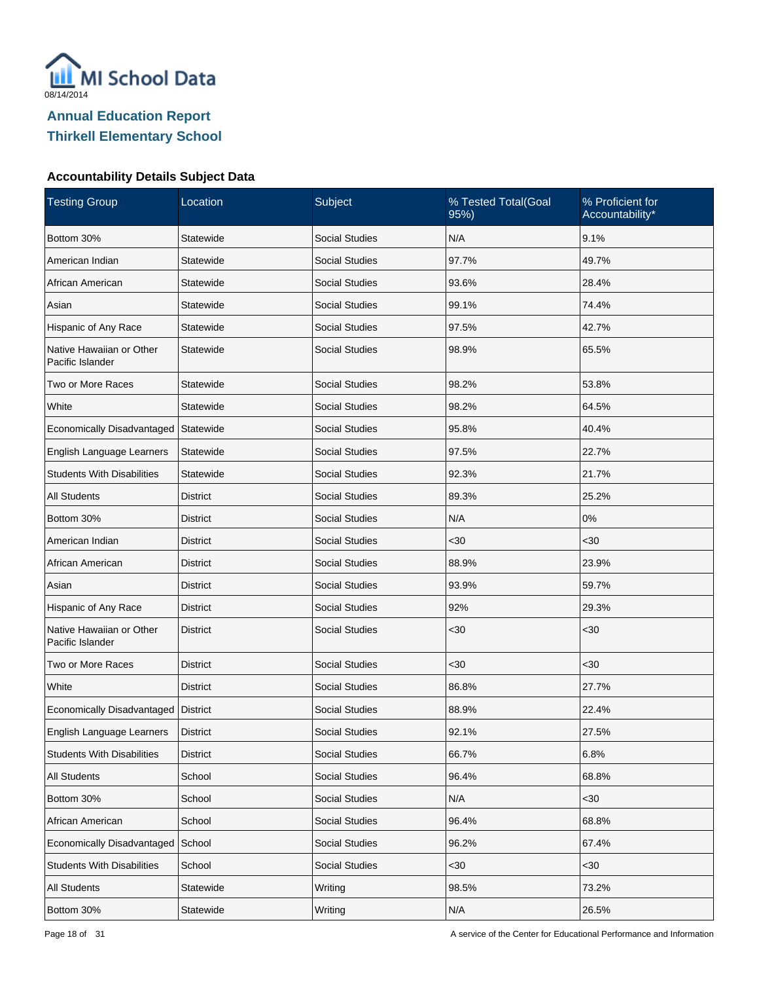

| <b>Testing Group</b>                         | Location        | Subject               |       | % Proficient for<br>Accountability* |  |
|----------------------------------------------|-----------------|-----------------------|-------|-------------------------------------|--|
| Bottom 30%                                   | Statewide       | <b>Social Studies</b> | N/A   | 9.1%                                |  |
| American Indian                              | Statewide       | <b>Social Studies</b> | 97.7% | 49.7%                               |  |
| African American                             | Statewide       | <b>Social Studies</b> | 93.6% | 28.4%                               |  |
| Asian                                        | Statewide       | <b>Social Studies</b> | 99.1% | 74.4%                               |  |
| Hispanic of Any Race                         | Statewide       | <b>Social Studies</b> | 97.5% | 42.7%                               |  |
| Native Hawaiian or Other<br>Pacific Islander | Statewide       | <b>Social Studies</b> | 98.9% | 65.5%                               |  |
| Two or More Races                            | Statewide       | <b>Social Studies</b> | 98.2% | 53.8%                               |  |
| White                                        | Statewide       | <b>Social Studies</b> | 98.2% | 64.5%                               |  |
| Economically Disadvantaged                   | Statewide       | <b>Social Studies</b> | 95.8% | 40.4%                               |  |
| English Language Learners                    | Statewide       | <b>Social Studies</b> | 97.5% | 22.7%                               |  |
| <b>Students With Disabilities</b>            | Statewide       | <b>Social Studies</b> | 92.3% | 21.7%                               |  |
| All Students                                 | <b>District</b> | <b>Social Studies</b> | 89.3% | 25.2%                               |  |
| Bottom 30%                                   | <b>District</b> | <b>Social Studies</b> | N/A   | 0%                                  |  |
| American Indian                              | District        | <b>Social Studies</b> | <30   | $30$                                |  |
| African American                             | <b>District</b> | <b>Social Studies</b> | 88.9% | 23.9%                               |  |
| Asian                                        | <b>District</b> | <b>Social Studies</b> | 93.9% | 59.7%                               |  |
| Hispanic of Any Race                         | <b>District</b> | <b>Social Studies</b> | 92%   | 29.3%                               |  |
| Native Hawaiian or Other<br>Pacific Islander | <b>District</b> | <b>Social Studies</b> | <30   | $30$                                |  |
| Two or More Races                            | <b>District</b> | <b>Social Studies</b> | $30$  | <30                                 |  |
| White                                        | <b>District</b> | <b>Social Studies</b> | 86.8% | 27.7%                               |  |
| Economically Disadvantaged                   | <b>District</b> | <b>Social Studies</b> | 88.9% | 22.4%                               |  |
| English Language Learners                    | <b>District</b> | <b>Social Studies</b> | 92.1% | 27.5%                               |  |
| <b>Students With Disabilities</b>            | <b>District</b> | Social Studies        | 66.7% | 6.8%                                |  |
| All Students                                 | School          | Social Studies        | 96.4% | 68.8%                               |  |
| Bottom 30%                                   | School          | Social Studies        | N/A   | <30                                 |  |
| African American                             | School          | Social Studies        | 96.4% | 68.8%                               |  |
| Economically Disadvantaged                   | School          | Social Studies        | 96.2% | 67.4%                               |  |
| <b>Students With Disabilities</b>            | School          | <b>Social Studies</b> | $30$  | <30                                 |  |
| All Students                                 | Statewide       | Writing               | 98.5% | 73.2%                               |  |
| Bottom 30%                                   | Statewide       | Writing               | N/A   | 26.5%                               |  |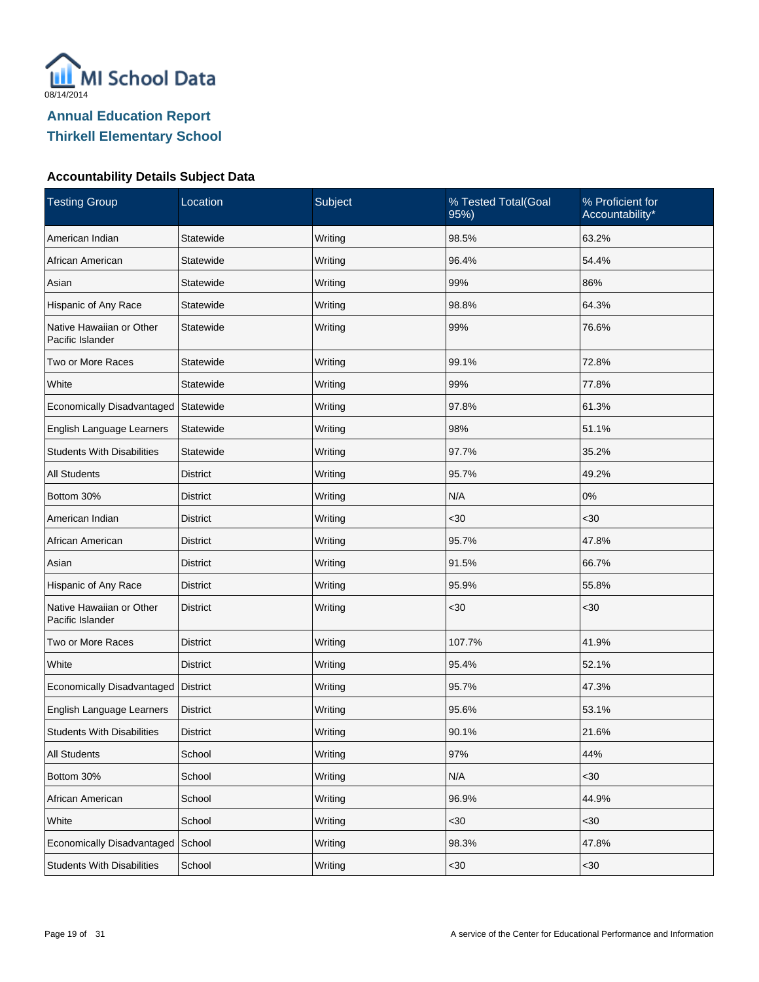

| <b>Testing Group</b>                         | Subject<br>Location |         | % Tested Total(Goal<br>95%) | % Proficient for<br>Accountability* |  |
|----------------------------------------------|---------------------|---------|-----------------------------|-------------------------------------|--|
| American Indian                              | Statewide           | Writing | 98.5%                       | 63.2%                               |  |
| African American                             | Statewide           | Writing | 96.4%                       | 54.4%                               |  |
| Asian                                        | Statewide           | Writing | 99%                         | 86%                                 |  |
| Hispanic of Any Race                         | Statewide           | Writing | 98.8%                       | 64.3%                               |  |
| Native Hawaiian or Other<br>Pacific Islander | Statewide           | Writing | 99%                         | 76.6%                               |  |
| Two or More Races                            | Statewide           | Writing | 99.1%                       | 72.8%                               |  |
| White                                        | Statewide           | Writing | 99%                         | 77.8%                               |  |
| Economically Disadvantaged                   | Statewide           | Writing | 97.8%                       | 61.3%                               |  |
| English Language Learners                    | Statewide           | Writing | 98%                         | 51.1%                               |  |
| <b>Students With Disabilities</b>            | Statewide           | Writing | 97.7%                       | 35.2%                               |  |
| <b>All Students</b>                          | <b>District</b>     | Writing | 95.7%                       | 49.2%                               |  |
| Bottom 30%                                   | District            | Writing | N/A                         | $0\%$                               |  |
| American Indian                              | <b>District</b>     | Writing | <30                         | <30                                 |  |
| African American                             | District            | Writing | 95.7%                       | 47.8%                               |  |
| Asian                                        | <b>District</b>     | Writing | 91.5%                       | 66.7%                               |  |
| Hispanic of Any Race                         | <b>District</b>     | Writing | 95.9%                       | 55.8%                               |  |
| Native Hawaiian or Other<br>Pacific Islander | <b>District</b>     | Writing | $30$                        | $30$                                |  |
| Two or More Races                            | <b>District</b>     | Writing | 107.7%                      | 41.9%                               |  |
| White                                        | <b>District</b>     | Writing | 95.4%                       | 52.1%                               |  |
| Economically Disadvantaged                   | <b>District</b>     | Writing | 95.7%                       | 47.3%                               |  |
| English Language Learners                    | <b>District</b>     | Writing | 95.6%                       | 53.1%                               |  |
| <b>Students With Disabilities</b>            | <b>District</b>     | Writing | 90.1%                       | 21.6%                               |  |
| All Students                                 | School              | Writing | 97%                         | 44%                                 |  |
| Bottom 30%                                   | School              | Writing | N/A                         | <30                                 |  |
| African American                             | School              | Writing | 96.9%                       | 44.9%                               |  |
| White                                        | School              | Writing | $30$                        | <30                                 |  |
| Economically Disadvantaged                   | School              | Writing | 98.3%                       | 47.8%                               |  |
| <b>Students With Disabilities</b>            | School              | Writing | <30                         | <30                                 |  |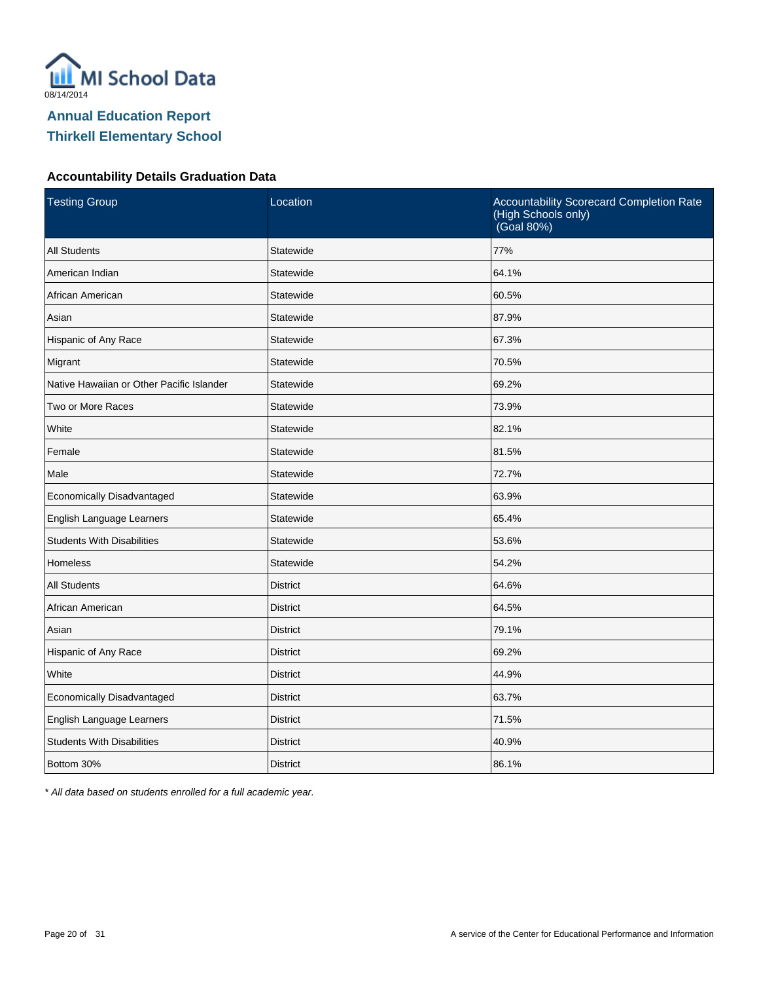

#### **Accountability Details Graduation Data**

| <b>Testing Group</b>                      | Location        | Accountability Scorecard Completion Rate<br>(High Schools only)<br>(Goal 80%) |
|-------------------------------------------|-----------------|-------------------------------------------------------------------------------|
| <b>All Students</b>                       | Statewide       | 77%                                                                           |
| American Indian                           | Statewide       | 64.1%                                                                         |
| African American                          | Statewide       | 60.5%                                                                         |
| Asian                                     | Statewide       | 87.9%                                                                         |
| Hispanic of Any Race                      | Statewide       | 67.3%                                                                         |
| Migrant                                   | Statewide       | 70.5%                                                                         |
| Native Hawaiian or Other Pacific Islander | Statewide       | 69.2%                                                                         |
| Two or More Races                         | Statewide       | 73.9%                                                                         |
| White                                     | Statewide       | 82.1%                                                                         |
| Female                                    | Statewide       | 81.5%                                                                         |
| Male                                      | Statewide       | 72.7%                                                                         |
| Economically Disadvantaged                | Statewide       | 63.9%                                                                         |
| English Language Learners                 | Statewide       | 65.4%                                                                         |
| <b>Students With Disabilities</b>         | Statewide       | 53.6%                                                                         |
| <b>Homeless</b>                           | Statewide       | 54.2%                                                                         |
| <b>All Students</b>                       | <b>District</b> | 64.6%                                                                         |
| African American                          | <b>District</b> | 64.5%                                                                         |
| Asian                                     | <b>District</b> | 79.1%                                                                         |
| Hispanic of Any Race                      | <b>District</b> | 69.2%                                                                         |
| White                                     | <b>District</b> | 44.9%                                                                         |
| Economically Disadvantaged                | <b>District</b> | 63.7%                                                                         |
| English Language Learners                 | <b>District</b> | 71.5%                                                                         |
| <b>Students With Disabilities</b>         | <b>District</b> | 40.9%                                                                         |
| Bottom 30%                                | <b>District</b> | 86.1%                                                                         |

\* All data based on students enrolled for a full academic year.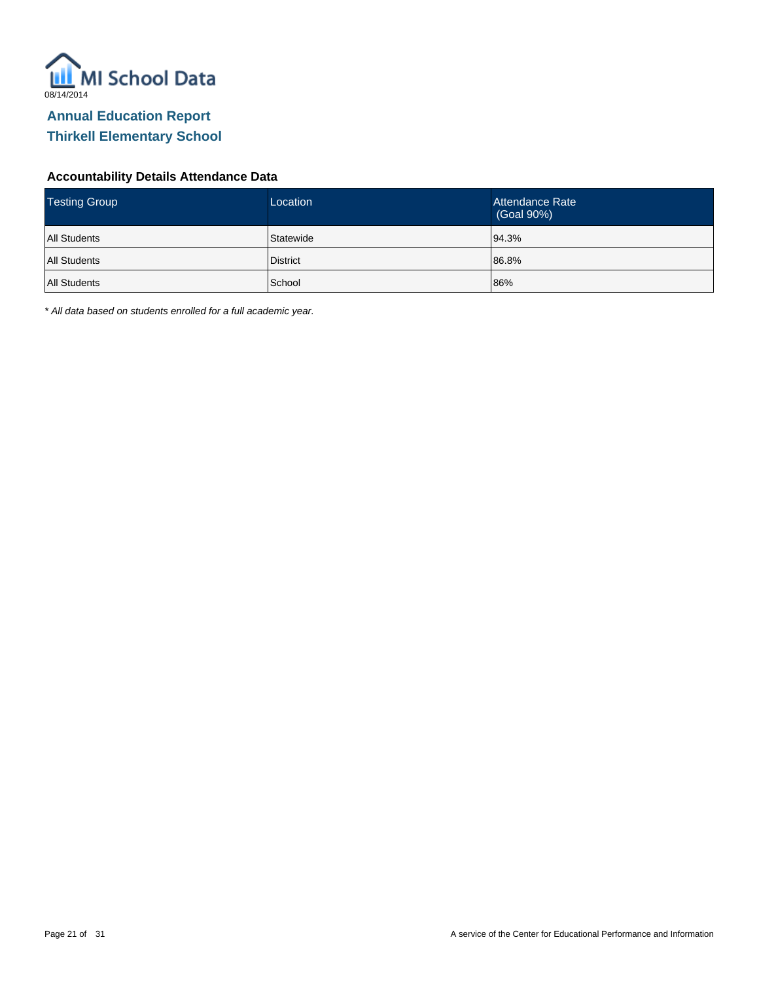

#### **Accountability Details Attendance Data**

| <b>Testing Group</b> | Location        | Attendance Rate<br>(Goal 90%) |
|----------------------|-----------------|-------------------------------|
| <b>All Students</b>  | Statewide       | 94.3%                         |
| All Students         | <b>District</b> | 86.8%                         |
| All Students         | School          | 86%                           |

\* All data based on students enrolled for a full academic year.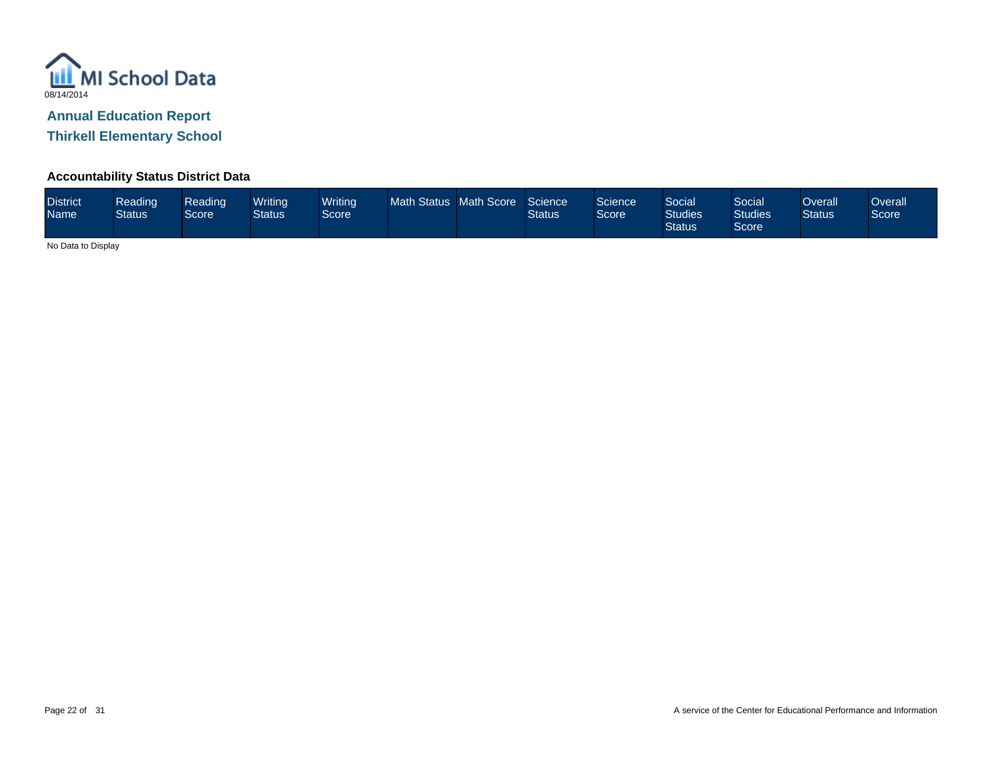

**Thirkell Elementary School**

#### **Accountability Status District Data**

| <b>District</b><br><b>Name</b> | Reading<br><b>Status</b> | Reading<br>Score <sup>1</sup> | Writina<br>Status | <b>Writing</b><br>Score | <b>Math Status</b> | Math Score | Science<br><b>Status</b> | Science<br>Score | Social<br><b>Studies</b><br><b>Status</b> | Social<br><b>Studies</b><br>Score | Overall<br><b>Status</b> | Overall<br>Score |
|--------------------------------|--------------------------|-------------------------------|-------------------|-------------------------|--------------------|------------|--------------------------|------------------|-------------------------------------------|-----------------------------------|--------------------------|------------------|
|--------------------------------|--------------------------|-------------------------------|-------------------|-------------------------|--------------------|------------|--------------------------|------------------|-------------------------------------------|-----------------------------------|--------------------------|------------------|

No Data to Display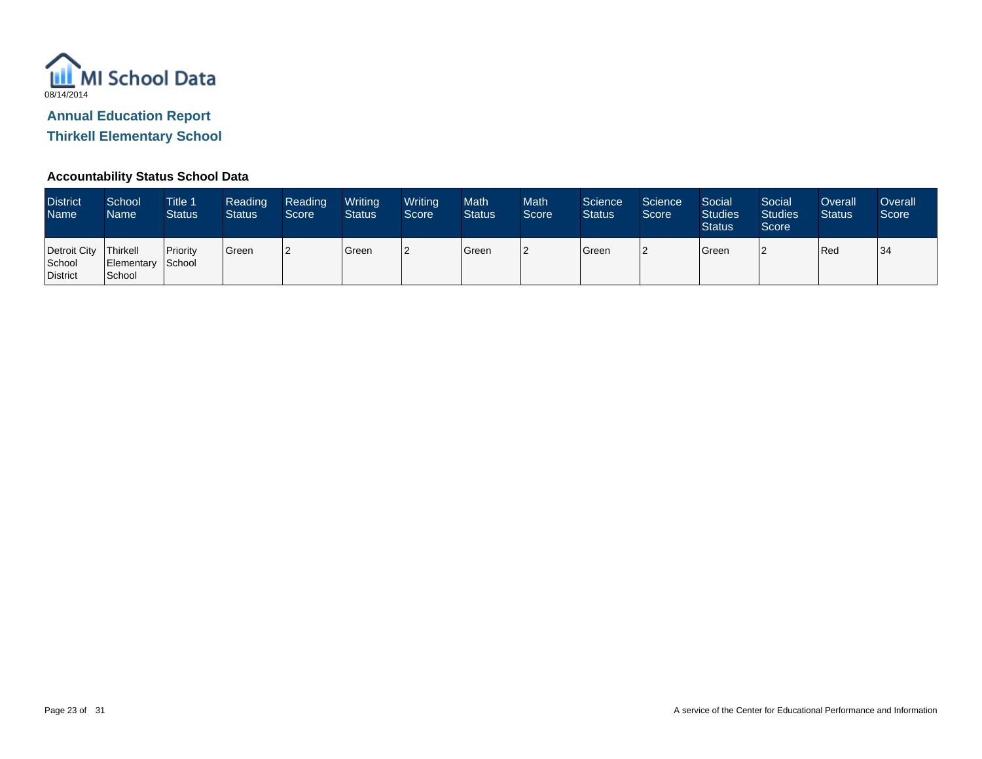

**Thirkell Elementary School**

#### **Accountability Status School Data**

| <b>District</b><br>Name <sup>1</sup>          | School<br>Name              | <b>Title 1</b><br><b>Status</b> | Reading<br><b>Status</b> | Reading<br>Score | Writing<br><b>Status</b> | Writing<br>Score | Math<br><b>Status</b> | <b>Math</b><br>Score | Science<br><b>Status</b> | Science<br>Score | Social<br><b>Studies</b><br><b>Status</b> | Social<br><b>Studies</b><br>Score | Overall<br><b>Status</b> | Overall<br>Score |
|-----------------------------------------------|-----------------------------|---------------------------------|--------------------------|------------------|--------------------------|------------------|-----------------------|----------------------|--------------------------|------------------|-------------------------------------------|-----------------------------------|--------------------------|------------------|
| Detroit City   Thirkell<br>School<br>District | Elementary School<br>School | Priority                        | <sup>'</sup> Green       |                  | Green                    | <u>הו</u>        | Green                 | 2                    | Green                    |                  | Green                                     |                                   | Red                      | 34               |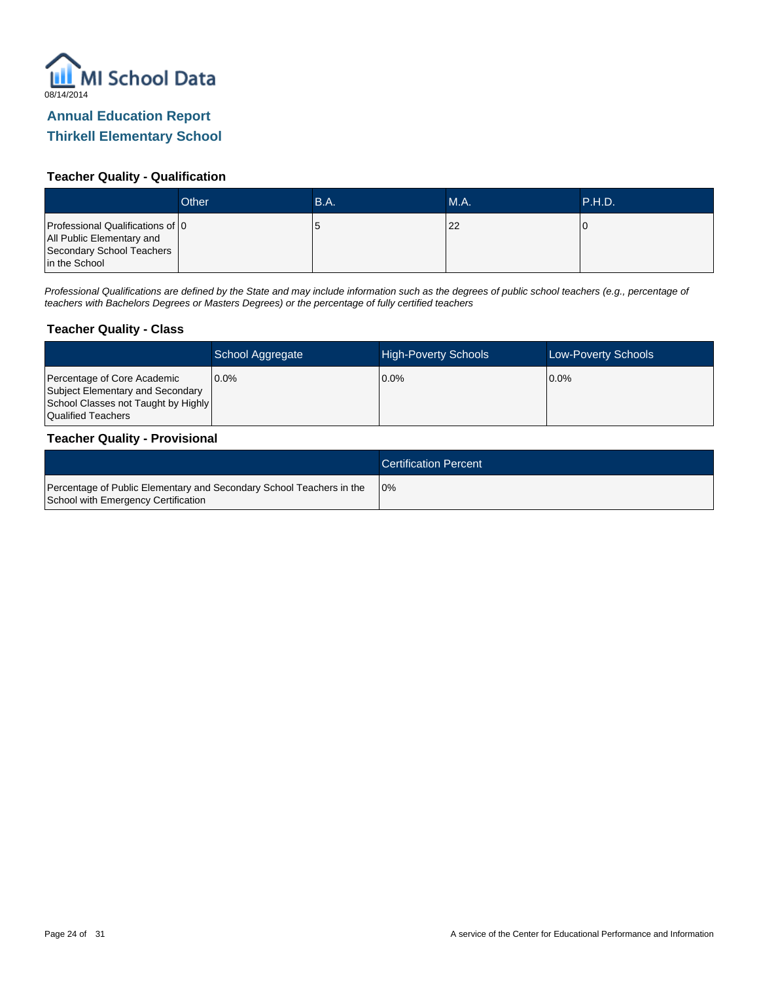

#### **Teacher Quality - Qualification**

|                                                                                                             | Other | B.A. | MA. | P.H.D. |
|-------------------------------------------------------------------------------------------------------------|-------|------|-----|--------|
| Professional Qualifications of 0<br>All Public Elementary and<br>Secondary School Teachers<br>in the School |       | O    | 22  |        |

Professional Qualifications are defined by the State and may include information such as the degrees of public school teachers (e.g., percentage of teachers with Bachelors Degrees or Masters Degrees) or the percentage of fully certified teachers

#### **Teacher Quality - Class**

|                                                                                                                              | School Aggregate | <b>High-Poverty Schools</b> | <b>Low-Poverty Schools</b> |
|------------------------------------------------------------------------------------------------------------------------------|------------------|-----------------------------|----------------------------|
| Percentage of Core Academic<br>Subject Elementary and Secondary<br>School Classes not Taught by Highly<br>Qualified Teachers | $0.0\%$          | $0.0\%$                     | $10.0\%$                   |

#### **Teacher Quality - Provisional**

|                                                                                                             | <b>Certification Percent</b> |
|-------------------------------------------------------------------------------------------------------------|------------------------------|
| Percentage of Public Elementary and Secondary School Teachers in the<br>School with Emergency Certification | 10%                          |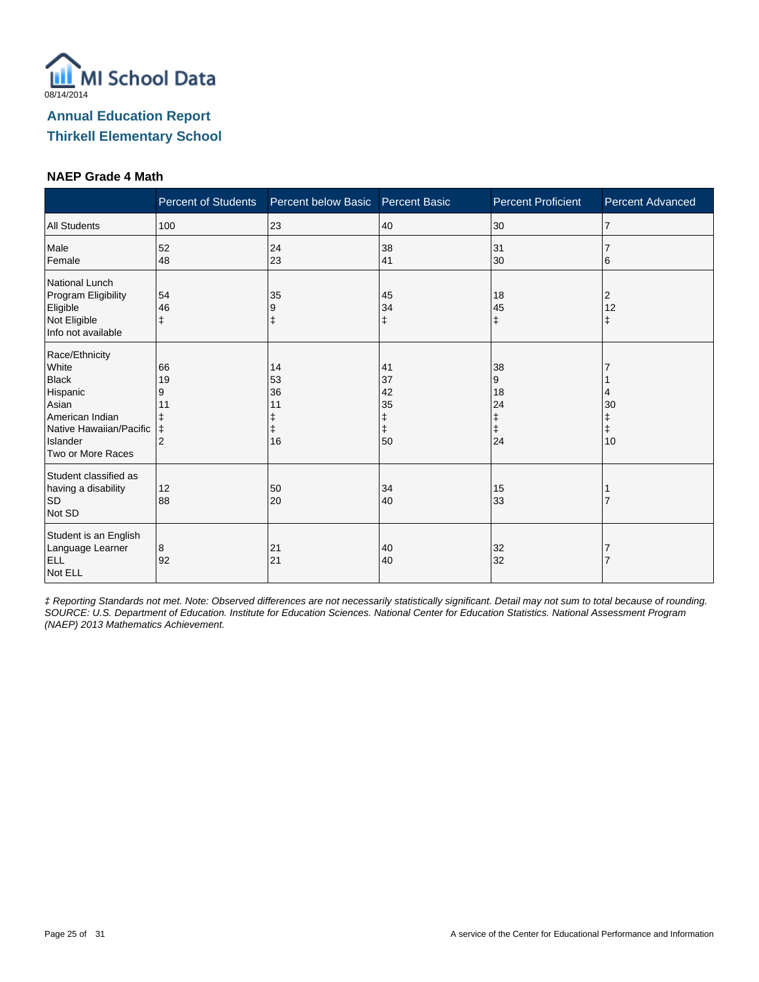

#### **NAEP Grade 4 Math**

|                                                                                                                                             | <b>Percent of Students</b>                               | Percent below Basic             | <b>Percent Basic</b>                 | <b>Percent Proficient</b>                    | Percent Advanced                 |
|---------------------------------------------------------------------------------------------------------------------------------------------|----------------------------------------------------------|---------------------------------|--------------------------------------|----------------------------------------------|----------------------------------|
| <b>All Students</b>                                                                                                                         | 100                                                      | 23                              | 40                                   | 30                                           | $\overline{7}$                   |
| Male<br>Female                                                                                                                              | 52<br>48                                                 | 24<br>23                        | 38<br>41                             | 31<br>30                                     | 6                                |
| National Lunch<br>Program Eligibility<br>Eligible<br>Not Eligible<br>Info not available                                                     | 54<br>46<br>$\ddagger$                                   | 35<br>9<br>ŧ                    | 45<br>34<br>ŧ                        | 18<br>45<br>$\ddagger$                       | 2<br>12<br>$\ddagger$            |
| Race/Ethnicity<br>White<br><b>Black</b><br>Hispanic<br>Asian<br>American Indian<br>Native Hawaiian/Pacific<br>Islander<br>Two or More Races | 66<br>19<br>9<br>11<br>ŧ<br>$\ddagger$<br>$\overline{2}$ | 14<br>53<br>36<br>11<br>ŧ<br>16 | 41<br>37<br>42<br>35<br>ŧ<br>ŧ<br>50 | 38<br>9<br>18<br>24<br>ŧ<br>$\ddagger$<br>24 | 4<br>30<br>ŧ<br>$\ddagger$<br>10 |
| Student classified as<br>having a disability<br><b>SD</b><br>Not SD                                                                         | 12<br>88                                                 | 50<br>20                        | 34<br>40                             | 15<br>33                                     |                                  |
| Student is an English<br>Language Learner<br><b>ELL</b><br>Not ELL                                                                          | 8<br>92                                                  | 21<br>21                        | 40<br>40                             | 32<br>32                                     |                                  |

‡ Reporting Standards not met. Note: Observed differences are not necessarily statistically significant. Detail may not sum to total because of rounding. SOURCE: U.S. Department of Education. Institute for Education Sciences. National Center for Education Statistics. National Assessment Program (NAEP) 2013 Mathematics Achievement.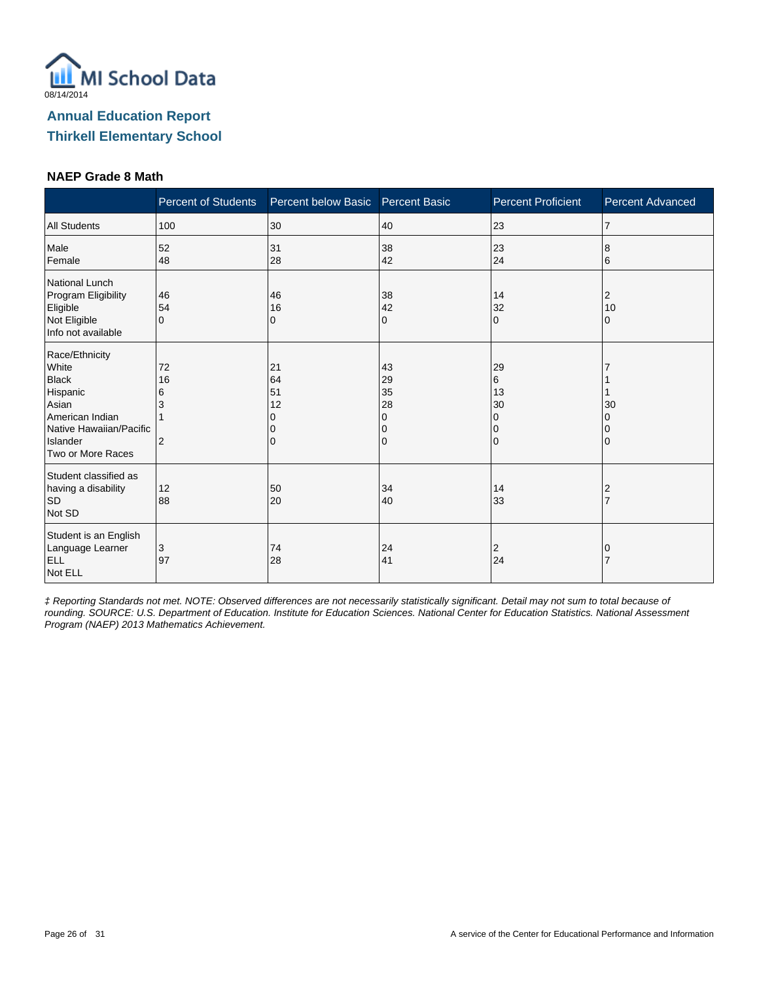

#### **NAEP Grade 8 Math**

|                                                                                                                                             | <b>Percent of Students</b>           | Percent below Basic       | <b>Percent Basic</b>                | <b>Percent Proficient</b>                           | <b>Percent Advanced</b> |
|---------------------------------------------------------------------------------------------------------------------------------------------|--------------------------------------|---------------------------|-------------------------------------|-----------------------------------------------------|-------------------------|
| <b>All Students</b>                                                                                                                         | 100                                  | 30                        | 40                                  | 23                                                  | $\overline{7}$          |
| Male<br>Female                                                                                                                              | 52<br>48                             | 31<br>28                  | 38<br>42                            | 23<br>24                                            | 8<br>6                  |
| National Lunch<br>Program Eligibility<br>Eligible<br>Not Eligible<br>Info not available                                                     | 46<br>54<br>$\Omega$                 | 46<br>16<br>0             | 38<br>42<br>0                       | 14<br>32<br>$\Omega$                                | 2<br>10<br>0            |
| Race/Ethnicity<br>White<br><b>Black</b><br>Hispanic<br>Asian<br>American Indian<br>Native Hawaiian/Pacific<br>Islander<br>Two or More Races | 72<br>16<br>6<br>3<br>$\overline{2}$ | 21<br>64<br>51<br>12<br>0 | 43<br>29<br>35<br>28<br>0<br>0<br>0 | 29<br>6<br>13<br>30<br>$\Omega$<br>0<br>$\mathbf 0$ | 30                      |
| Student classified as<br>having a disability<br><b>SD</b><br>Not SD                                                                         | 12<br>88                             | 50<br>20                  | 34<br>40                            | 14<br>33                                            | 2                       |
| Student is an English<br>Language Learner<br><b>ELL</b><br>Not ELL                                                                          | 3<br>97                              | 74<br>28                  | 24<br>41                            | 2<br>24                                             |                         |

‡ Reporting Standards not met. NOTE: Observed differences are not necessarily statistically significant. Detail may not sum to total because of rounding. SOURCE: U.S. Department of Education. Institute for Education Sciences. National Center for Education Statistics. National Assessment Program (NAEP) 2013 Mathematics Achievement.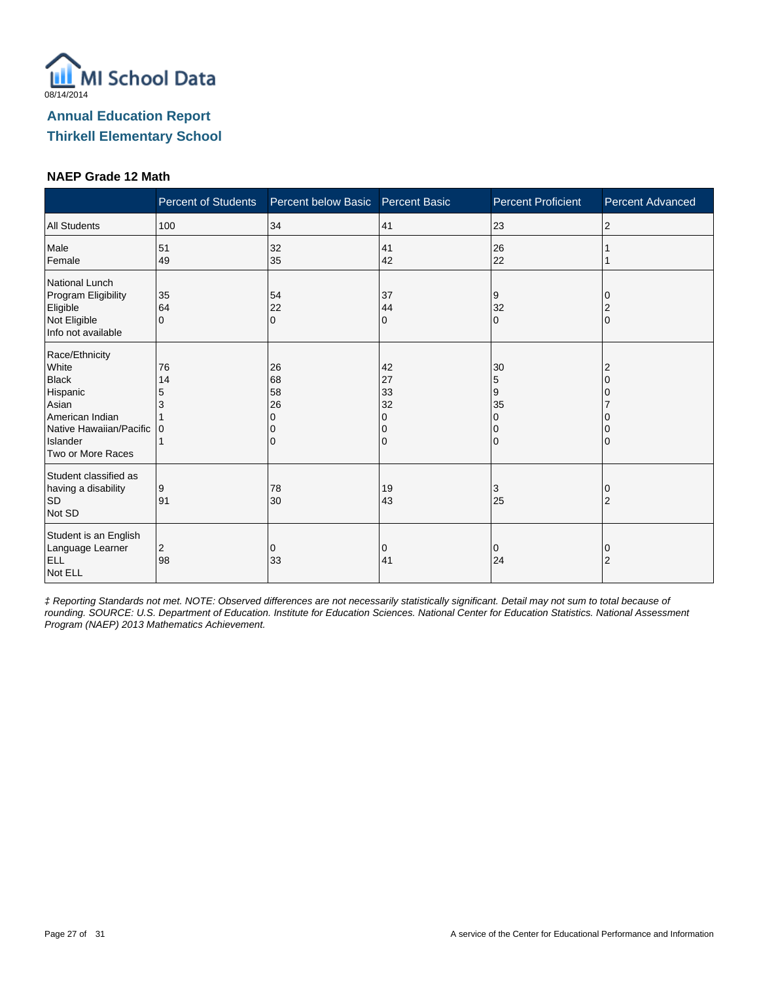

#### **NAEP Grade 12 Math**

|                                                                                                                                             | <b>Percent of Students</b> | Percent below Basic            | <b>Percent Basic</b>                | <b>Percent Proficient</b>                    | <b>Percent Advanced</b> |
|---------------------------------------------------------------------------------------------------------------------------------------------|----------------------------|--------------------------------|-------------------------------------|----------------------------------------------|-------------------------|
| <b>All Students</b>                                                                                                                         | 100                        | 34                             | 41                                  | 23                                           | 2                       |
| Male<br>Female                                                                                                                              | 51<br>49                   | 32<br>35                       | 41<br>42                            | 26<br>22                                     |                         |
| <b>National Lunch</b><br>Program Eligibility<br>Eligible<br>Not Eligible<br>Info not available                                              | 35<br>64<br>$\Omega$       | 54<br>22<br>$\mathbf 0$        | 37<br>44<br>0                       | 9<br>32<br>$\mathbf 0$                       | 2<br>$\Omega$           |
| Race/Ethnicity<br>White<br><b>Black</b><br>Hispanic<br>Asian<br>American Indian<br>Native Hawaiian/Pacific<br>Islander<br>Two or More Races | 76<br>14<br>5<br>ı٥        | 26<br>68<br>58<br>26<br>O<br>0 | 42<br>27<br>33<br>32<br>0<br>0<br>0 | 30<br>5<br>9<br>35<br>0<br>0<br>$\mathbf{0}$ | 2<br>∩                  |
| Student classified as<br>having a disability<br><b>SD</b><br>Not SD                                                                         | 9<br>91                    | 78<br>30                       | 19<br>43                            | 3<br>25                                      | 0<br>$\overline{2}$     |
| Student is an English<br>Language Learner<br><b>ELL</b><br>Not ELL                                                                          | 2<br>98                    | 0<br>33                        | 0<br>41                             | $\mathbf 0$<br>24                            | 0<br>$\overline{2}$     |

‡ Reporting Standards not met. NOTE: Observed differences are not necessarily statistically significant. Detail may not sum to total because of rounding. SOURCE: U.S. Department of Education. Institute for Education Sciences. National Center for Education Statistics. National Assessment Program (NAEP) 2013 Mathematics Achievement.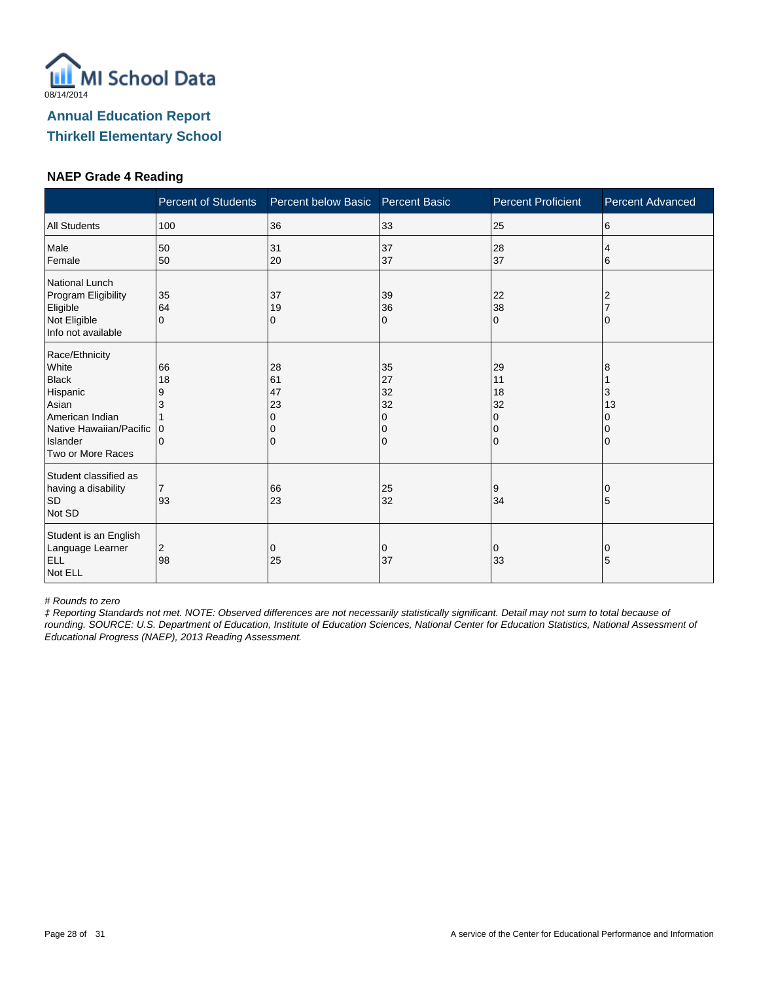

#### **NAEP Grade 4 Reading**

|                                                                                                                                             | <b>Percent of Students</b>          | Percent below Basic            | <b>Percent Basic</b>                | <b>Percent Proficient</b>                                   | <b>Percent Advanced</b> |
|---------------------------------------------------------------------------------------------------------------------------------------------|-------------------------------------|--------------------------------|-------------------------------------|-------------------------------------------------------------|-------------------------|
| <b>All Students</b>                                                                                                                         | 100                                 | 36                             | 33                                  | 25                                                          | 6                       |
| Male<br>Female                                                                                                                              | 50<br>50                            | 31<br>20                       | 37<br>37                            | 28<br>37                                                    | 4<br>6                  |
| National Lunch<br>Program Eligibility<br>Eligible<br>Not Eligible<br>Info not available                                                     | 35<br>64<br>$\Omega$                | 37<br>19<br>0                  | 39<br>36<br>0                       | 22<br>38<br>$\mathbf 0$                                     |                         |
| Race/Ethnicity<br>White<br><b>Black</b><br>Hispanic<br>Asian<br>American Indian<br>Native Hawaiian/Pacific<br>Islander<br>Two or More Races | 66<br>18<br>9<br>3<br>$\Omega$<br>0 | 28<br>61<br>47<br>23<br>O<br>0 | 35<br>27<br>32<br>32<br>0<br>0<br>0 | 29<br>11<br>18<br>32<br>$\Omega$<br>$\Omega$<br>$\mathbf 0$ | 8<br>3<br>13            |
| Student classified as<br>having a disability<br><b>SD</b><br>Not SD                                                                         | $\overline{7}$<br>93                | 66<br>23                       | 25<br>32                            | 9<br>34                                                     | O<br>5                  |
| Student is an English<br>Language Learner<br><b>ELL</b><br>Not ELL                                                                          | 2<br>98                             | 0<br>25                        | 0<br>37                             | 0<br>33                                                     | 0<br>5                  |

# Rounds to zero

‡ Reporting Standards not met. NOTE: Observed differences are not necessarily statistically significant. Detail may not sum to total because of rounding. SOURCE: U.S. Department of Education, Institute of Education Sciences, National Center for Education Statistics, National Assessment of Educational Progress (NAEP), 2013 Reading Assessment.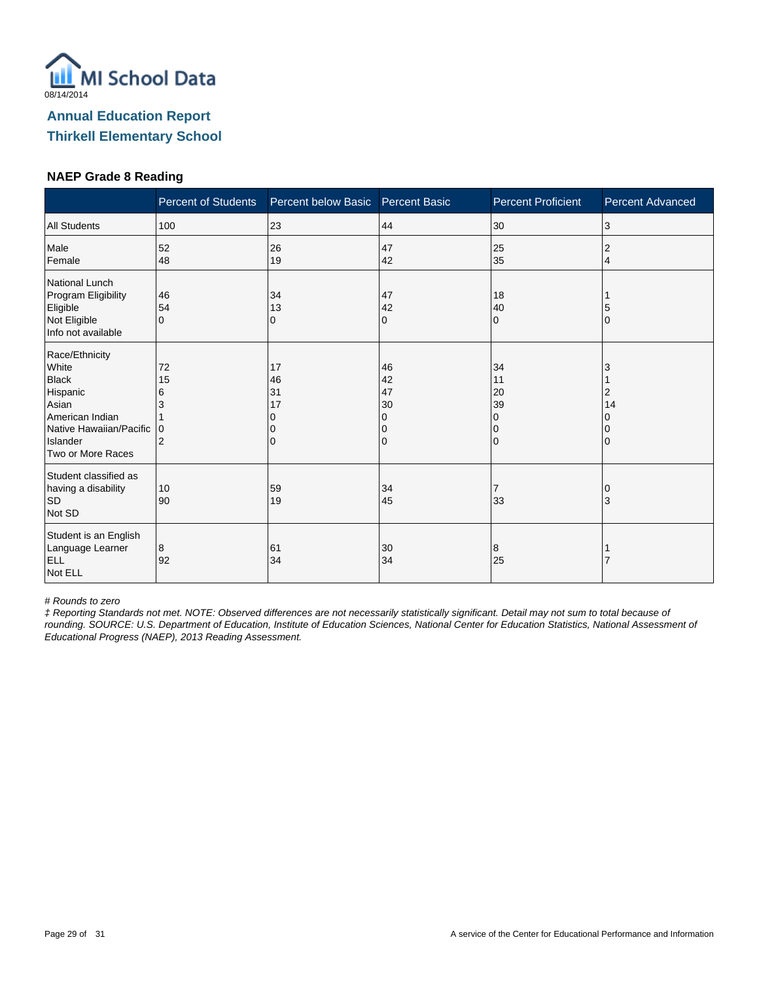

#### **NAEP Grade 8 Reading**

|                                                                                                                                             | <b>Percent of Students</b>          | Percent below Basic            | <b>Percent Basic</b>                | <b>Percent Proficient</b>                     | <b>Percent Advanced</b> |
|---------------------------------------------------------------------------------------------------------------------------------------------|-------------------------------------|--------------------------------|-------------------------------------|-----------------------------------------------|-------------------------|
| <b>All Students</b>                                                                                                                         | 100                                 | 23                             | 44                                  | 30                                            | 3                       |
| Male<br>Female                                                                                                                              | 52<br>48                            | 26<br>19                       | 47<br>42                            | 25<br>35                                      | 2<br>4                  |
| National Lunch<br>Program Eligibility<br>Eligible<br>Not Eligible<br>Info not available                                                     | 46<br>54<br>$\Omega$                | 34<br>13<br>0                  | 47<br>42<br>0                       | 18<br>40<br>$\Omega$                          | O                       |
| Race/Ethnicity<br>White<br><b>Black</b><br>Hispanic<br>Asian<br>American Indian<br>Native Hawaiian/Pacific<br>Islander<br>Two or More Races | 72<br>15<br>6<br>3<br>$\Omega$<br>2 | 17<br>46<br>31<br>17<br>O<br>0 | 46<br>42<br>47<br>30<br>0<br>0<br>0 | 34<br>11<br>20<br>39<br>0<br>0<br>$\mathbf 0$ | 3<br>2<br>14            |
| Student classified as<br>having a disability<br><b>SD</b><br>Not SD                                                                         | 10<br>90                            | 59<br>19                       | 34<br>45                            | $\overline{7}$<br>33                          | 3                       |
| Student is an English<br>Language Learner<br><b>ELL</b><br>Not ELL                                                                          | 8<br>92                             | 61<br>34                       | 30<br>34                            | 8<br>25                                       |                         |

# Rounds to zero

‡ Reporting Standards not met. NOTE: Observed differences are not necessarily statistically significant. Detail may not sum to total because of rounding. SOURCE: U.S. Department of Education, Institute of Education Sciences, National Center for Education Statistics, National Assessment of Educational Progress (NAEP), 2013 Reading Assessment.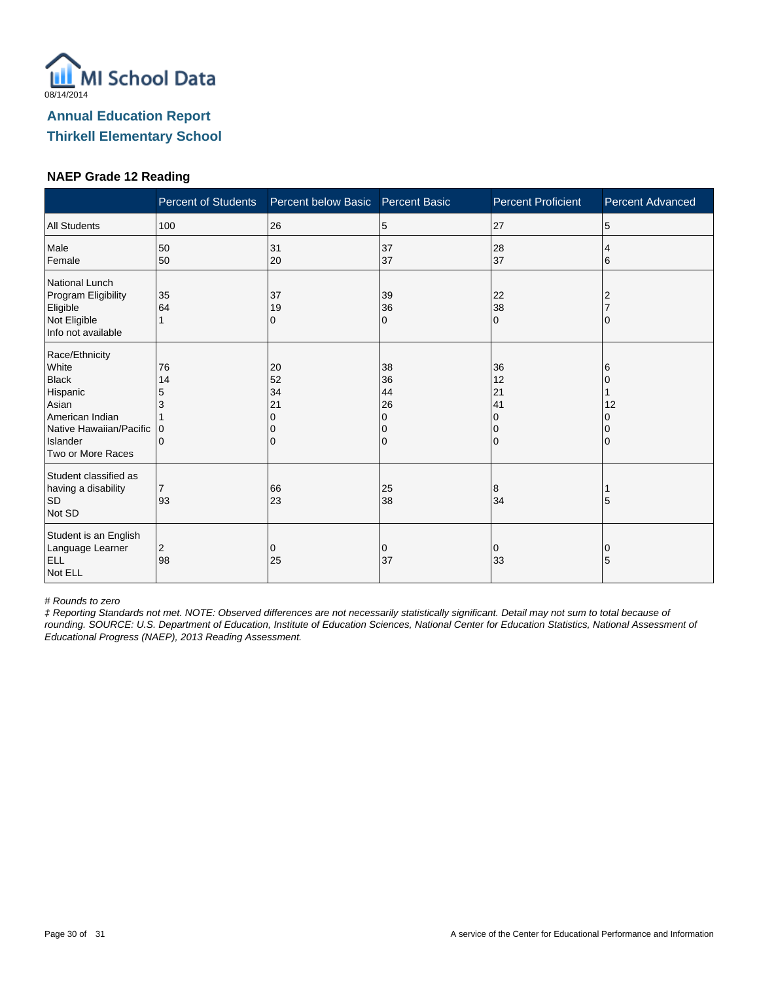

#### **NAEP Grade 12 Reading**

|                                                                                                                                             | <b>Percent of Students</b>          | Percent below Basic       | <b>Percent Basic</b>                | <b>Percent Proficient</b>                                       | <b>Percent Advanced</b> |
|---------------------------------------------------------------------------------------------------------------------------------------------|-------------------------------------|---------------------------|-------------------------------------|-----------------------------------------------------------------|-------------------------|
| <b>All Students</b>                                                                                                                         | 100                                 | 26                        | 5                                   | 27                                                              | 5                       |
| Male<br>Female                                                                                                                              | 50<br>50                            | 31<br>20                  | 37<br>37                            | 28<br>37                                                        | 4<br>6                  |
| National Lunch<br>Program Eligibility<br>Eligible<br>Not Eligible<br>Info not available                                                     | 35<br>64                            | 37<br>19<br>0             | 39<br>36<br>0                       | 22<br>38<br>$\Omega$                                            |                         |
| Race/Ethnicity<br>White<br><b>Black</b><br>Hispanic<br>Asian<br>American Indian<br>Native Hawaiian/Pacific<br>Islander<br>Two or More Races | 76<br>14<br>5<br>3<br>$\Omega$<br>0 | 20<br>52<br>34<br>21<br>0 | 38<br>36<br>44<br>26<br>0<br>0<br>0 | 36<br>12<br>21<br>41<br><sup>0</sup><br>$\Omega$<br>$\mathbf 0$ | 6<br>12                 |
| Student classified as<br>having a disability<br><b>SD</b><br>Not SD                                                                         | $\overline{7}$<br>93                | 66<br>23                  | 25<br>38                            | 8<br>34                                                         | 5                       |
| Student is an English<br>Language Learner<br><b>ELL</b><br>Not ELL                                                                          | 2<br>98                             | 0<br>25                   | 0<br>37                             | 0<br>33                                                         | 0<br>5                  |

# Rounds to zero

‡ Reporting Standards not met. NOTE: Observed differences are not necessarily statistically significant. Detail may not sum to total because of rounding. SOURCE: U.S. Department of Education, Institute of Education Sciences, National Center for Education Statistics, National Assessment of Educational Progress (NAEP), 2013 Reading Assessment.